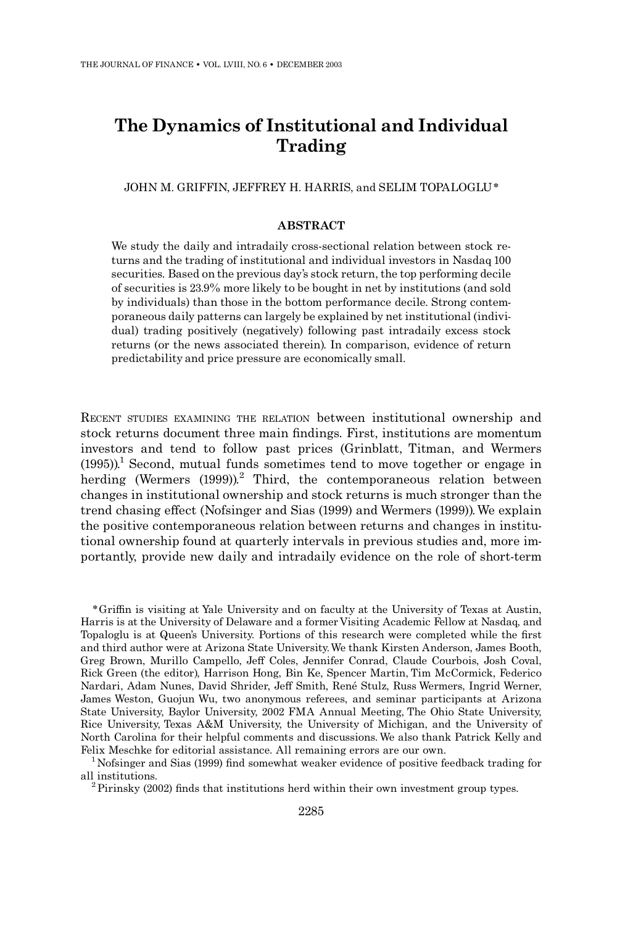# The Dynamics of Institutional and Individual Trading

JOHN M. GRIFFIN, JEFFREY H. HARRIS, and SELIM TOPALOGLU\*

#### ABSTRACT

We study the daily and intradaily cross-sectional relation between stock returns and the trading of institutional and individual investors in Nasdaq 100 securities. Based on the previous day's stock return, the top performing decile of securities is 23.9% more likely to be bought in net by institutions (and sold by individuals) than those in the bottom performance decile. Strong contemporaneous daily patterns can largely be explained by net institutional (individual) trading positively (negatively) following past intradaily excess stock returns (or the news associated therein). In comparison, evidence of return predictability and price pressure are economically small.

RECENT STUDIES EXAMINING THE RELATION between institutional ownership and stock returns document three main findings. First, institutions are momentum investors and tend to follow past prices (Grinblatt, Titman, and Wermers  $(1995)$ .<sup>1</sup> Second, mutual funds sometimes tend to move together or engage in herding (Wermers  $(1999)$ ).<sup>2</sup> Third, the contemporaneous relation between changes in institutional ownership and stock returns is much stronger than the trend chasing effect (Nofsinger and Sias (1999) and Wermers (1999)). We explain the positive contemporaneous relation between returns and changes in institutional ownership found at quarterly intervals in previous studies and, more importantly, provide new daily and intradaily evidence on the role of short-term

<sup>n</sup> Gri⁄n is visiting at Yale University and on faculty at the University of Texas at Austin, Harris is at the University of Delaware and a former Visiting Academic Fellow at Nasdaq, and Topaloglu is at Queen's University. Portions of this research were completed while the first and third author were at Arizona State University.We thank Kirsten Anderson, James Booth, Greg Brown, Murillo Campello, Jeff Coles, Jennifer Conrad, Claude Courbois, Josh Coval, Rick Green (the editor), Harrison Hong, Bin Ke, Spencer Martin, Tim McCormick, Federico Nardari, Adam Nunes, David Shrider, Jeff Smith, René Stulz, Russ Wermers, Ingrid Werner, James Weston, Guojun Wu, two anonymous referees, and seminar participants at Arizona State University, Baylor University, 2002 FMA Annual Meeting, The Ohio State University, Rice University, Texas A&M University, the University of Michigan, and the University of North Carolina for their helpful comments and discussions. We also thank Patrick Kelly and Felix Meschke for editorial assistance. All remaining errors are our own.<br><sup>1</sup>Nofsinger and Sias (1999) find somewhat weaker evidence of positive feedback trading for

all institutions.<br><sup>2</sup>Pirinsky (2002) finds that institutions herd within their own investment group types.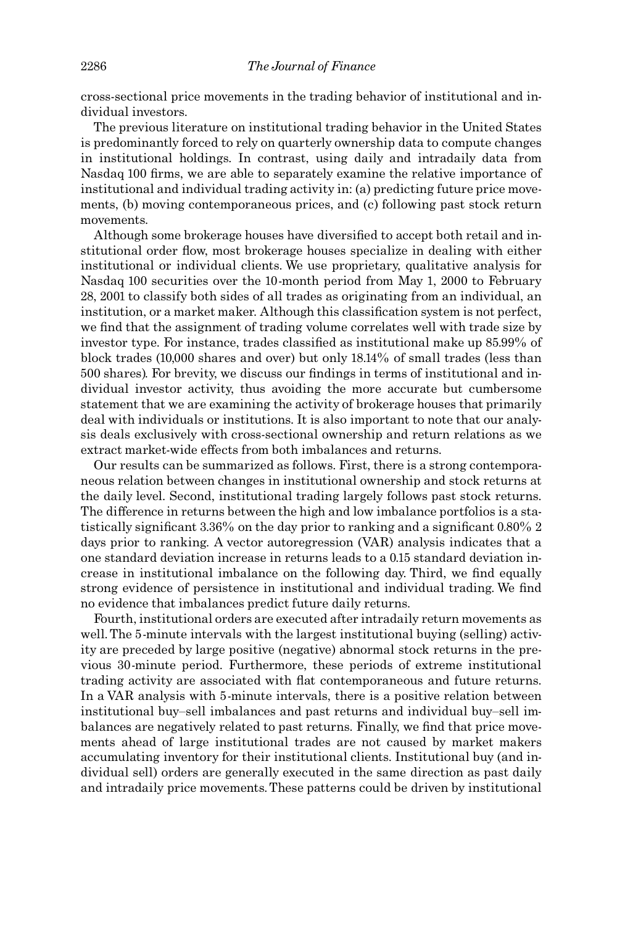cross-sectional price movements in the trading behavior of institutional and individual investors.

The previous literature on institutional trading behavior in the United States is predominantly forced to rely on quarterly ownership data to compute changes in institutional holdings. In contrast, using daily and intradaily data from Nasdaq 100 firms, we are able to separately examine the relative importance of institutional and individual trading activity in: (a) predicting future price movements, (b) moving contemporaneous prices, and (c) following past stock return movements.

Although some brokerage houses have diversified to accept both retail and institutional order flow, most brokerage houses specialize in dealing with either institutional or individual clients. We use proprietary, qualitative analysis for Nasdaq 100 securities over the 10-month period from May 1, 2000 to February 28, 2001 to classify both sides of all trades as originating from an individual, an institution, or a market maker. Although this classification system is not perfect, we find that the assignment of trading volume correlates well with trade size by investor type. For instance, trades classified as institutional make up 85.99% of block trades (10,000 shares and over) but only 18.14% of small trades (less than 500 shares). For brevity, we discuss our ¢ndings in terms of institutional and individual investor activity, thus avoiding the more accurate but cumbersome statement that we are examining the activity of brokerage houses that primarily deal with individuals or institutions. It is also important to note that our analysis deals exclusively with cross-sectional ownership and return relations as we extract market-wide effects from both imbalances and returns.

Our results can be summarized as follows. First, there is a strong contemporaneous relation between changes in institutional ownership and stock returns at the daily level. Second, institutional trading largely follows past stock returns. The difference in returns between the high and low imbalance portfolios is a statistically significant 3.36% on the day prior to ranking and a significant  $0.80\%$  2 days prior to ranking. A vector autoregression (VAR) analysis indicates that a one standard deviation increase in returns leads to a 0.15 standard deviation increase in institutional imbalance on the following day. Third, we find equally strong evidence of persistence in institutional and individual trading. We find no evidence that imbalances predict future daily returns.

Fourth, institutional orders are executed after intradaily return movements as well. The 5-minute intervals with the largest institutional buying (selling) activity are preceded by large positive (negative) abnormal stock returns in the previous 30-minute period. Furthermore, these periods of extreme institutional trading activity are associated with flat contemporaneous and future returns. In a VAR analysis with 5-minute intervals, there is a positive relation between institutional buy-sell imbalances and past returns and individual buy-sell imbalances are negatively related to past returns. Finally, we find that price movements ahead of large institutional trades are not caused by market makers accumulating inventory for their institutional clients. Institutional buy (and individual sell) orders are generally executed in the same direction as past daily and intradaily price movements.These patterns could be driven by institutional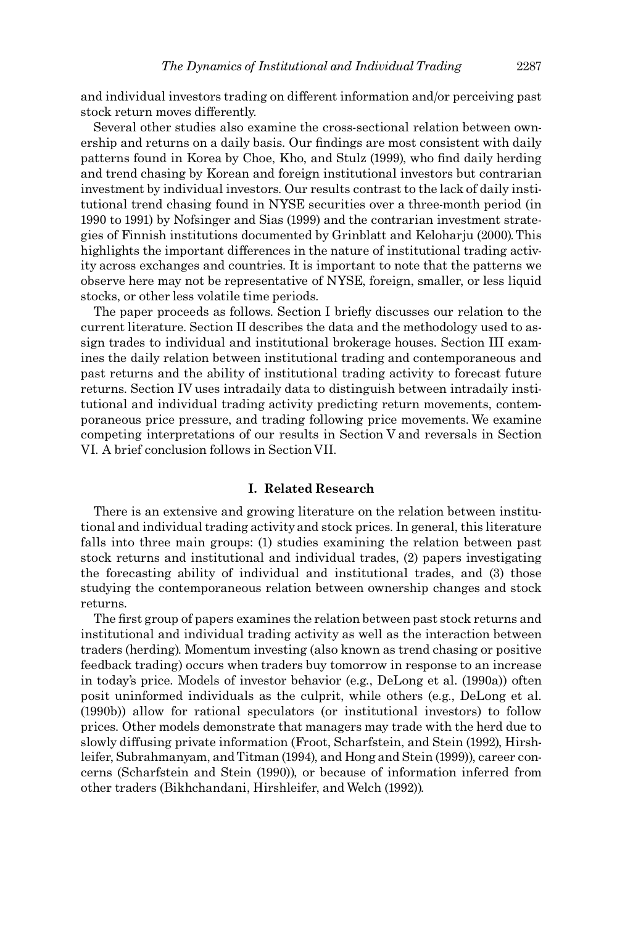and individual investors trading on different information and/or perceiving past stock return moves differently.

Several other studies also examine the cross-sectional relation between ownership and returns on a daily basis. Our findings are most consistent with daily patterns found in Korea by Choe, Kho, and Stulz (1999), who find daily herding and trend chasing by Korean and foreign institutional investors but contrarian investment by individual investors. Our results contrast to the lack of daily institutional trend chasing found in NYSE securities over a three-month period (in 1990 to 1991) by Nofsinger and Sias (1999) and the contrarian investment strategies of Finnish institutions documented by Grinblatt and Keloharju (2000). This highlights the important differences in the nature of institutional trading activity across exchanges and countries. It is important to note that the patterns we observe here may not be representative of NYSE, foreign, smaller, or less liquid stocks, or other less volatile time periods.

The paper proceeds as follows. Section I briefly discusses our relation to the current literature. Section II describes the data and the methodology used to assign trades to individual and institutional brokerage houses. Section III examines the daily relation between institutional trading and contemporaneous and past returns and the ability of institutional trading activity to forecast future returns. Section IV uses intradaily data to distinguish between intradaily institutional and individual trading activity predicting return movements, contemporaneous price pressure, and trading following price movements. We examine competing interpretations of our results in Section V and reversals in Section VI. A brief conclusion follows in SectionVII.

## I. Related Research

There is an extensive and growing literature on the relation between institutional and individual trading activity and stock prices. In general, this literature falls into three main groups: (1) studies examining the relation between past stock returns and institutional and individual trades, (2) papers investigating the forecasting ability of individual and institutional trades, and (3) those studying the contemporaneous relation between ownership changes and stock returns.

The first group of papers examines the relation between past stock returns and institutional and individual trading activity as well as the interaction between traders (herding). Momentum investing (also known as trend chasing or positive feedback trading) occurs when traders buy tomorrow in response to an increase in today's price. Models of investor behavior (e.g., DeLong et al. (1990a)) often posit uninformed individuals as the culprit, while others (e.g., DeLong et al. (1990b)) allow for rational speculators (or institutional investors) to follow prices. Other models demonstrate that managers may trade with the herd due to slowly diffusing private information (Froot, Scharfstein, and Stein (1992), Hirshleifer, Subrahmanyam, and Titman (1994), and Hong and Stein (1999)), career concerns (Scharfstein and Stein (1990)), or because of information inferred from other traders (Bikhchandani, Hirshleifer, and Welch (1992)).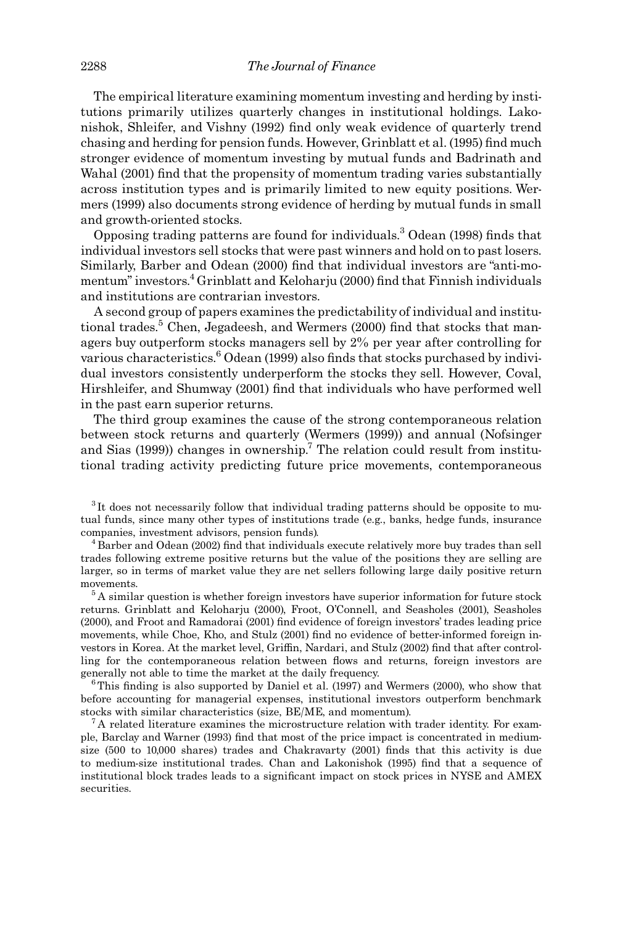The empirical literature examining momentum investing and herding by institutions primarily utilizes quarterly changes in institutional holdings. Lakonishok, Shleifer, and Vishny (1992) find only weak evidence of quarterly trend chasing and herding for pension funds. However, Grinblatt et al. (1995) find much stronger evidence of momentum investing by mutual funds and Badrinath and Wahal (2001) find that the propensity of momentum trading varies substantially across institution types and is primarily limited to new equity positions. Wermers (1999) also documents strong evidence of herding by mutual funds in small and growth-oriented stocks.

Opposing trading patterns are found for individuals.<sup>3</sup> Odean (1998) finds that individual investors sell stocks that were past winners and hold on to past losers. Similarly, Barber and Odean (2000) find that individual investors are "anti-momentum" investors.<sup>4</sup> Grinblatt and Keloharju (2000) find that Finnish individuals and institutions are contrarian investors.

A second group of papers examines the predictability of individual and institutional trades.<sup>5</sup> Chen, Jegadeesh, and Wermers (2000) find that stocks that managers buy outperform stocks managers sell by 2% per year after controlling for various characteristics.<sup>6</sup> Odean (1999) also finds that stocks purchased by individual investors consistently underperform the stocks they sell. However, Coval, Hirshleifer, and Shumway (2001) find that individuals who have performed well in the past earn superior returns.

The third group examines the cause of the strong contemporaneous relation between stock returns and quarterly (Wermers (1999)) and annual (Nofsinger and Sias (1999)) changes in ownership.<sup>7</sup> The relation could result from institutional trading activity predicting future price movements, contemporaneous

<sup>3</sup>It does not necessarily follow that individual trading patterns should be opposite to mutual funds, since many other types of institutions trade (e.g., banks, hedge funds, insurance companies, investment advisors, pension funds). <sup>4</sup> Barber and Odean (2002) ¢nd that individuals execute relatively more buy trades than sell

trades following extreme positive returns but the value of the positions they are selling are larger, so in terms of market value they are net sellers following large daily positive return

movements.<br><sup>5</sup> A similar question is whether foreign investors have superior information for future stock returns. Grinblatt and Keloharju (2000), Froot, O'Connell, and Seasholes (2001), Seasholes (2000), and Froot and Ramadorai (2001) find evidence of foreign investors' trades leading price movements, while Choe, Kho, and Stulz (2001) find no evidence of better-informed foreign investors in Korea. At the market level, Griffin, Nardari, and Stulz (2002) find that after controlling for the contemporaneous relation between flows and returns, foreign investors are generally not able to time the market at the daily frequency.<br><sup>6</sup>This finding is also supported by Daniel et al. (1997) and Wermers (2000), who show that

before accounting for managerial expenses, institutional investors outperform benchmark stocks with similar characteristics (size, BE/ME, and momentum).<br><sup>7</sup> A related literature examines the microstructure relation with trader identity. For exam-

ple, Barclay and Warner (1993) find that most of the price impact is concentrated in mediumsize  $(500 \text{ to } 10,000 \text{ shares})$  trades and Chakravarty  $(2001)$  finds that this activity is due to medium-size institutional trades. Chan and Lakonishok (1995) find that a sequence of institutional block trades leads to a significant impact on stock prices in NYSE and AMEX securities.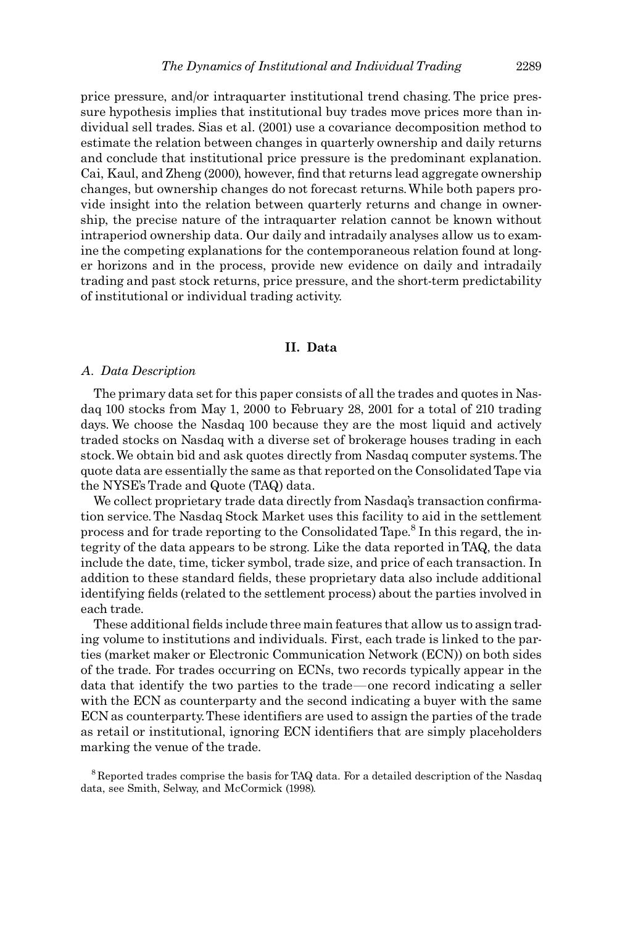price pressure, and/or intraquarter institutional trend chasing. The price pressure hypothesis implies that institutional buy trades move prices more than individual sell trades. Sias et al. (2001) use a covariance decomposition method to estimate the relation between changes in quarterly ownership and daily returns and conclude that institutional price pressure is the predominant explanation. Cai, Kaul, and Zheng (2000), however, ¢nd that returns lead aggregate ownership changes, but ownership changes do not forecast returns.While both papers provide insight into the relation between quarterly returns and change in ownership, the precise nature of the intraquarter relation cannot be known without intraperiod ownership data. Our daily and intradaily analyses allow us to examine the competing explanations for the contemporaneous relation found at longer horizons and in the process, provide new evidence on daily and intradaily trading and past stock returns, price pressure, and the short-term predictability of institutional or individual trading activity.

#### II. Data

#### A. Data Description

The primary data set for this paper consists of all the trades and quotes in Nasdaq 100 stocks from May 1, 2000 to February 28, 2001 for a total of 210 trading days. We choose the Nasdaq 100 because they are the most liquid and actively traded stocks on Nasdaq with a diverse set of brokerage houses trading in each stock.We obtain bid and ask quotes directly from Nasdaq computer systems.The quote data are essentially the same as that reported on the Consolidated Tape via the NYSE's Trade and Quote (TAQ) data.

We collect proprietary trade data directly from Nasdaq's transaction confirmation service. The Nasdaq Stock Market uses this facility to aid in the settlement process and for trade reporting to the Consolidated Tape.<sup>8</sup> In this regard, the integrity of the data appears to be strong. Like the data reported in TAQ, the data include the date, time, ticker symbol, trade size, and price of each transaction. In addition to these standard fields, these proprietary data also include additional identifying ¢elds (related to the settlement process) about the parties involved in each trade.

These additional fields include three main features that allow us to assign trading volume to institutions and individuals. First, each trade is linked to the parties (market maker or Electronic Communication Network (ECN)) on both sides of the trade. For trades occurring on ECNs, two records typically appear in the data that identify the two parties to the trade—one record indicating a seller with the ECN as counterparty and the second indicating a buyer with the same ECN as counterparty. These identifiers are used to assign the parties of the trade as retail or institutional, ignoring ECN identifiers that are simply placeholders marking the venue of the trade.

<sup>8</sup> Reported trades comprise the basis for TAQ data. For a detailed description of the Nasdaq data, see Smith, Selway, and McCormick (1998).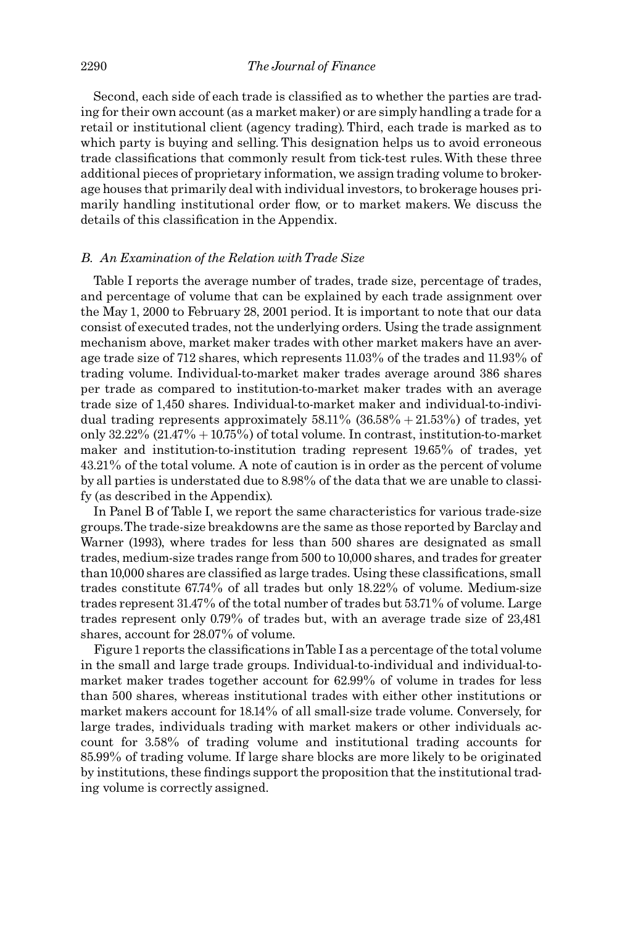Second, each side of each trade is classified as to whether the parties are trading for their own account (as a market maker) or are simply handling a trade for a retail or institutional client (agency trading). Third, each trade is marked as to which party is buying and selling. This designation helps us to avoid erroneous trade classifications that commonly result from tick-test rules. With these three additional pieces of proprietary information, we assign trading volume to brokerage houses that primarily deal with individual investors, to brokerage houses primarily handling institutional order flow, or to market makers. We discuss the details of this classification in the Appendix.

#### B. An Examination of the Relation with Trade Size

Table I reports the average number of trades, trade size, percentage of trades, and percentage of volume that can be explained by each trade assignment over the May 1, 2000 to February 28, 2001 period. It is important to note that our data consist of executed trades, not the underlying orders. Using the trade assignment mechanism above, market maker trades with other market makers have an average trade size of 712 shares, which represents 11.03% of the trades and 11.93% of trading volume. Individual-to-market maker trades average around 386 shares per trade as compared to institution-to-market maker trades with an average trade size of 1,450 shares. Individual-to-market maker and individual-to-individual trading represents approximately  $58.11\%$  (36.58%  $+21.53\%$ ) of trades, yet only  $32.22\%$   $(21.47\% + 10.75\%)$  of total volume. In contrast, institution-to-market maker and institution-to-institution trading represent 19.65% of trades, yet 43.21% of the total volume. A note of caution is in order as the percent of volume by all parties is understated due to 8.98% of the data that we are unable to classify (as described in the Appendix).

In Panel B of Table I, we report the same characteristics for various trade-size groups.The trade-size breakdowns are the same as those reported by Barclay and Warner (1993), where trades for less than 500 shares are designated as small trades, medium-size trades range from 500 to 10,000 shares, and trades for greater than 10,000 shares are classified as large trades. Using these classifications, small trades constitute 67.74% of all trades but only 18.22% of volume. Medium-size trades represent 31.47% of the total number of trades but 53.71% of volume. Large trades represent only 0.79% of trades but, with an average trade size of 23,481 shares, account for 28.07% of volume.

Figure 1 reports the classifications in Table I as a percentage of the total volume in the small and large trade groups. Individual-to-individual and individual-tomarket maker trades together account for 62.99% of volume in trades for less than 500 shares, whereas institutional trades with either other institutions or market makers account for 18.14% of all small-size trade volume. Conversely, for large trades, individuals trading with market makers or other individuals account for 3.58% of trading volume and institutional trading accounts for 85.99% of trading volume. If large share blocks are more likely to be originated by institutions, these ¢ndings support the proposition that the institutional trading volume is correctly assigned.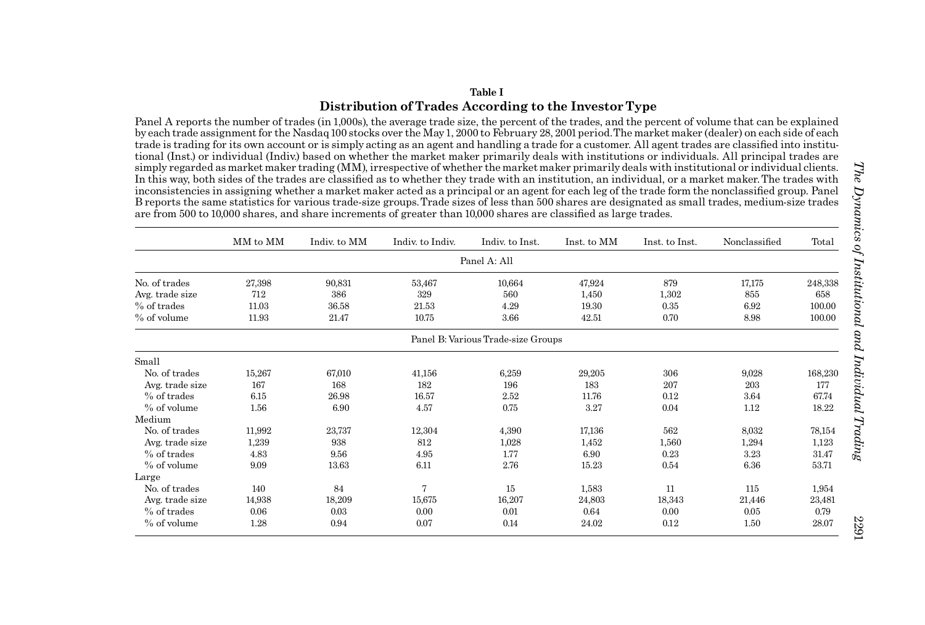#### Table IDistribution of Trades According to the Investor Type

Panel A reports the number of trades (in 1,000s), the average trade size, the percent of the trades, and the percent of volume that can be explained by each trade assignment for the Nasdaq 100 stocks over the May 1, 2000 to February 28, 2001period.The market maker (dealer) on each side of each trade is trading for its own account or is simply acting as an agent and handling a trade for a customer. All agent trades are classified into institutional (Inst.) or individual (Indiv.) based on whether the market maker primarily deals with institutions or individuals. All principal trades are simply regarded as market maker trading (MM), irrespective of whether the market maker primarily deals with institutional or individual clients. In this way, both sides of the trades are classified as to whether they trade with an institution, an individual, or a market maker. The trades with inconsistencies in assigning whether a market maker acted as a principal or an agent for each leg of the trade form the nonclassified group. Panel B reports the same statistics for various trade-size groups.Trade sizes of less than 500 shares are designated as small trades, medium-size trades are from 500 to 10,000 shares, and share increments of greater than 10,000 shares are classified as large trades.

|                 | MM to MM | Indiv. to MM | Indiv. to Indiv. | Indiv. to Inst.                    | Inst. to MM | Inst. to Inst. | Nonclassified | Total   |
|-----------------|----------|--------------|------------------|------------------------------------|-------------|----------------|---------------|---------|
|                 |          |              |                  | Panel A: All                       |             |                |               |         |
| No. of trades   | 27,398   | 90,831       | 53,467           | 10,664                             | 47,924      | 879            | 17,175        | 248,338 |
| Avg. trade size | 712      | 386          | 329              | 560                                | 1,450       | 1,302          | 855           | 658     |
| $%$ of trades   | 11.03    | 36.58        | 21.53            | 4.29                               | 19.30       | 0.35           | 6.92          | 100.00  |
| $%$ of volume   | 11.93    | 21.47        | 10.75            | 3.66                               | 42.51       | 0.70           | 8.98          | 100.00  |
|                 |          |              |                  | Panel B: Various Trade-size Groups |             |                |               |         |
| Small           |          |              |                  |                                    |             |                |               |         |
| No. of trades   | 15,267   | 67,010       | 41,156           | 6,259                              | 29,205      | 306            | 9,028         | 168,230 |
| Avg. trade size | 167      | 168          | 182              | 196                                | 183         | 207            | 203           | 177     |
| $%$ of trades   | 6.15     | 26.98        | 16.57            | 2.52                               | 11.76       | 0.12           | 3.64          | 67.74   |
| $%$ of volume   | 1.56     | 6.90         | 4.57             | 0.75                               | 3.27        | 0.04           | 1.12          | 18.22   |
| Medium          |          |              |                  |                                    |             |                |               |         |
| No. of trades   | 11,992   | 23,737       | 12,304           | 4,390                              | 17,136      | 562            | 8,032         | 78,154  |
| Avg. trade size | 1,239    | 938          | 812              | 1,028                              | 1,452       | 1,560          | 1,294         | 1,123   |
| $%$ of trades   | 4.83     | 9.56         | 4.95             | 1.77                               | 6.90        | 0.23           | 3.23          | 31.47   |
| $%$ of volume   | 9.09     | 13.63        | 6.11             | 2.76                               | 15.23       | 0.54           | 6.36          | 53.71   |
| Large           |          |              |                  |                                    |             |                |               |         |
| No. of trades   | 140      | 84           | 7                | 15                                 | 1,583       | 11             | 115           | 1,954   |
| Avg. trade size | 14,938   | 18,209       | 15,675           | 16,207                             | 24,803      | 18,343         | 21,446        | 23,481  |
| $%$ of trades   | 0.06     | 0.03         | 0.00             | 0.01                               | 0.64        | 0.00           | 0.05          | 0.79    |
| $%$ of volume   | 1.28     | 0.94         | 0.07             | 0.14                               | 24.02       | 0.12           | 1.50          | 28.07   |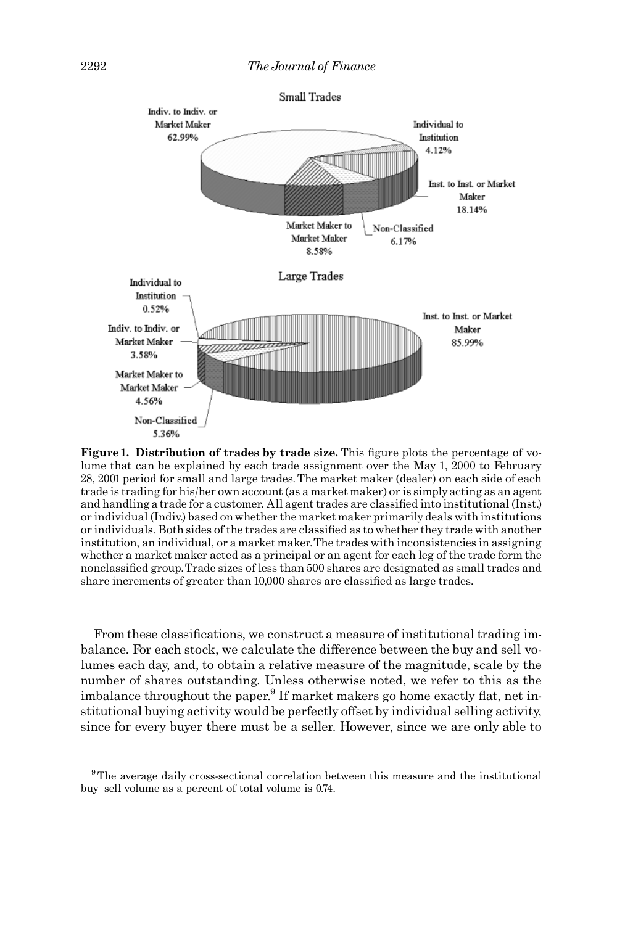

Figure 1. Distribution of trades by trade size. This figure plots the percentage of volume that can be explained by each trade assignment over the May 1, 2000 to February 28, 2001 period for small and large trades.The market maker (dealer) on each side of each trade is trading for his/her own account (as a market maker) or is simply acting as an agent and handling a trade for a customer. All agent trades are classified into institutional (Inst.) or individual (Indiv.) based on whether the market maker primarily deals with institutions or individuals. Both sides of the trades are classified as to whether they trade with another institution, an individual, or a market maker.The trades with inconsistencies in assigning whether a market maker acted as a principal or an agent for each leg of the trade form the nonclassified group. Trade sizes of less than 500 shares are designated as small trades and share increments of greater than 10,000 shares are classified as large trades.

From these classifications, we construct a measure of institutional trading imbalance. For each stock, we calculate the difference between the buy and sell volumes each day, and, to obtain a relative measure of the magnitude, scale by the number of shares outstanding. Unless otherwise noted, we refer to this as the imbalance throughout the paper.<sup>9</sup> If market makers go home exactly flat, net institutional buying activity would be perfectly offset by individual selling activity, since for every buyer there must be a seller. However, since we are only able to

<sup>&</sup>lt;sup>9</sup>The average daily cross-sectional correlation between this measure and the institutional buy-sell volume as a percent of total volume is 0.74.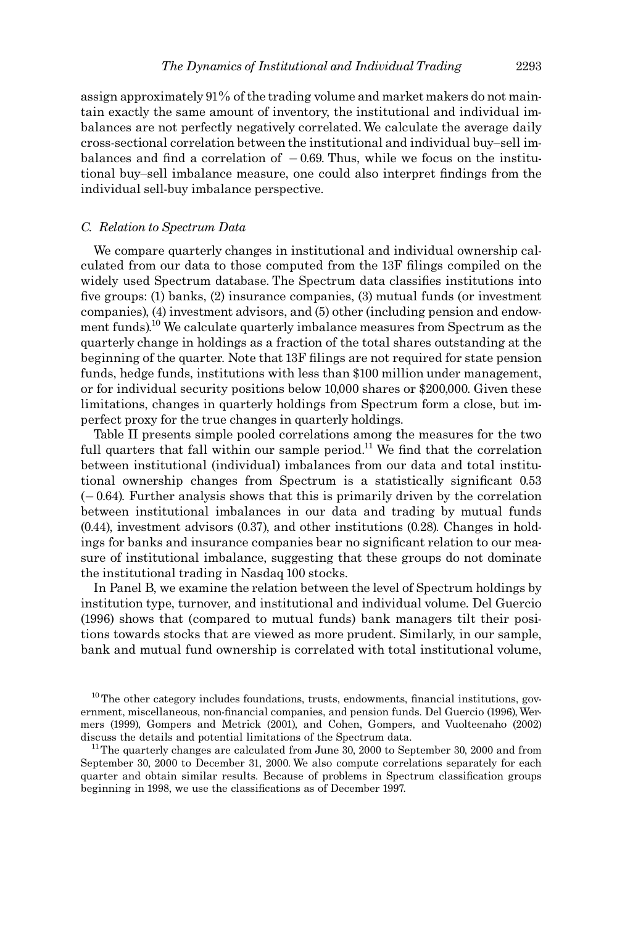assign approximately 91% of the trading volume and market makers do not maintain exactly the same amount of inventory, the institutional and individual imbalances are not perfectly negatively correlated.We calculate the average daily cross-sectional correlation between the institutional and individual buy^sell imbalances and find a correlation of  $-0.69$ . Thus, while we focus on the institutional buy-sell imbalance measure, one could also interpret findings from the individual sell-buy imbalance perspective.

### C. Relation to Spectrum Data

We compare quarterly changes in institutional and individual ownership calculated from our data to those computed from the 13F filings compiled on the widely used Spectrum database. The Spectrum data classifies institutions into five groups:  $(1)$  banks,  $(2)$  insurance companies,  $(3)$  mutual funds (or investment companies), (4) investment advisors, and (5) other (including pension and endowment funds).10 We calculate quarterly imbalance measures from Spectrum as the quarterly change in holdings as a fraction of the total shares outstanding at the beginning of the quarter. Note that 13F filings are not required for state pension funds, hedge funds, institutions with less than \$100 million under management, or for individual security positions below 10,000 shares or \$200,000. Given these limitations, changes in quarterly holdings from Spectrum form a close, but imperfect proxy for the true changes in quarterly holdings.

Table II presents simple pooled correlations among the measures for the two full quarters that fall within our sample period.<sup>11</sup> We find that the correlation between institutional (individual) imbalances from our data and total institutional ownership changes from Spectrum is a statistically significant 0.53 (- 0.64). Further analysis shows that this is primarily driven by the correlation between institutional imbalances in our data and trading by mutual funds (0.44), investment advisors (0.37), and other institutions (0.28). Changes in holdings for banks and insurance companies bear no significant relation to our measure of institutional imbalance, suggesting that these groups do not dominate the institutional trading in Nasdaq 100 stocks.

In Panel B, we examine the relation between the level of Spectrum holdings by institution type, turnover, and institutional and individual volume. Del Guercio (1996) shows that (compared to mutual funds) bank managers tilt their positions towards stocks that are viewed as more prudent. Similarly, in our sample, bank and mutual fund ownership is correlated with total institutional volume,

 $10$ The other category includes foundations, trusts, endowments, financial institutions, government, miscellaneous, non-financial companies, and pension funds. Del Guercio (1996), Wermers (1999), Gompers and Metrick (2001), and Cohen, Gompers, and Vuolteenaho (2002) discuss the details and potential limitations of the Spectrum data.  $11$ The quarterly changes are calculated from June 30, 2000 to September 30, 2000 and from

September 30, 2000 to December 31, 2000. We also compute correlations separately for each quarter and obtain similar results. Because of problems in Spectrum classification groups beginning in 1998, we use the classifications as of December 1997.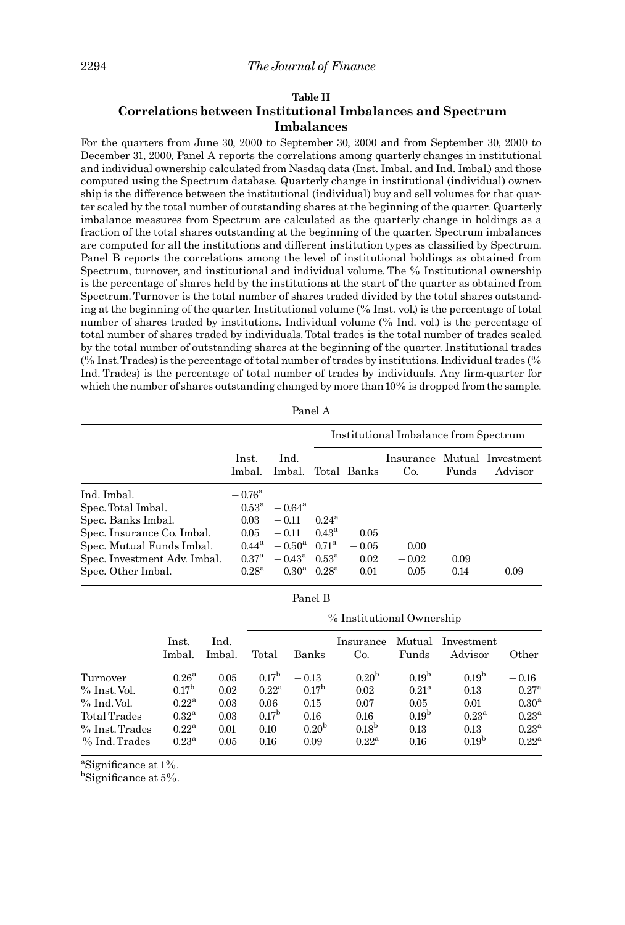# Table II Correlations between Institutional Imbalances and Spectrum Imbalances

For the quarters from June 30, 2000 to September 30, 2000 and from September 30, 2000 to December 31, 2000, Panel A reports the correlations among quarterly changes in institutional and individual ownership calculated from Nasdaq data (Inst. Imbal. and Ind. Imbal.) and those computed using the Spectrum database. Quarterly change in institutional (individual) ownership is the difference between the institutional (individual) buy and sell volumes for that quarter scaled by the total number of outstanding shares at the beginning of the quarter. Quarterly imbalance measures from Spectrum are calculated as the quarterly change in holdings as a fraction of the total shares outstanding at the beginning of the quarter. Spectrum imbalances are computed for all the institutions and different institution types as classified by Spectrum. Panel B reports the correlations among the level of institutional holdings as obtained from Spectrum, turnover, and institutional and individual volume. The % Institutional ownership is the percentage of shares held by the institutions at the start of the quarter as obtained from Spectrum. Turnover is the total number of shares traded divided by the total shares outstanding at the beginning of the quarter. Institutional volume (% Inst. vol.) is the percentage of total number of shares traded by institutions. Individual volume (% Ind. vol.) is the percentage of total number of shares traded by individuals. Total trades is the total number of trades scaled by the total number of outstanding shares at the beginning of the quarter. Institutional trades  $\frac{1}{2}$  (% Inst. Trades) is the percentage of total number of trades by institutions. Individual trades (%) Ind. Trades) is the percentage of total number of trades by individuals. Any firm-quarter for which the number of shares outstanding changed by more than  $10\%$  is dropped from the sample.

| Panel A                      |                 |                                               |                |             |                                       |       |                                        |  |  |  |  |  |  |
|------------------------------|-----------------|-----------------------------------------------|----------------|-------------|---------------------------------------|-------|----------------------------------------|--|--|--|--|--|--|
|                              |                 |                                               |                |             | Institutional Imbalance from Spectrum |       |                                        |  |  |  |  |  |  |
|                              | Inst.<br>Imbal. | Ind.<br>Imbal.                                |                | Total Banks | Co.                                   | Funds | Insurance Mutual Investment<br>Advisor |  |  |  |  |  |  |
| Ind. Imbal.                  | $-0.76^{\rm a}$ |                                               |                |             |                                       |       |                                        |  |  |  |  |  |  |
| Spec. Total Imbal.           |                 | $0.53^a$ $-0.64^a$                            |                |             |                                       |       |                                        |  |  |  |  |  |  |
| Spec. Banks Imbal.           | 0.03            | $-0.11$                                       | $0.24^{\rm a}$ |             |                                       |       |                                        |  |  |  |  |  |  |
| Spec. Insurance Co. Imbal.   | $0.05 -$        | $-0.11$                                       | $0.43^{\rm a}$ | 0.05        |                                       |       |                                        |  |  |  |  |  |  |
| Spec. Mutual Funds Imbal.    |                 | $0.44^{\rm a}$ $-0.50^{\rm a}$ $0.71^{\rm a}$ |                | $-0.05$     | 0.00                                  |       |                                        |  |  |  |  |  |  |
| Spec. Investment Adv. Imbal. |                 | $0.37^{\rm a}$ $-0.43^{\rm a}$ $0.53^{\rm a}$ |                | 0.02        | $-0.02$                               | 0.09  |                                        |  |  |  |  |  |  |
| Spec. Other Imbal.           | $0.28^{\rm a}$  | $-0.30^{\rm a}$                               | $0.28^{\rm a}$ | 0.01        | 0.05                                  | 0.14  | 0.09                                   |  |  |  |  |  |  |

| ı<br>٢ì<br>ш |  |
|--------------|--|
|--------------|--|

|                                                                                                   |                                                                                                               |                                                       |                                                                                        |                                                                                    | % Institutional Ownership                                                  |                                                                                        |                                                                                     |                                                                                                      |
|---------------------------------------------------------------------------------------------------|---------------------------------------------------------------------------------------------------------------|-------------------------------------------------------|----------------------------------------------------------------------------------------|------------------------------------------------------------------------------------|----------------------------------------------------------------------------|----------------------------------------------------------------------------------------|-------------------------------------------------------------------------------------|------------------------------------------------------------------------------------------------------|
|                                                                                                   | Inst.<br>Imbal.                                                                                               | Ind.<br>Imbal.                                        | Total                                                                                  | Banks                                                                              | Insurance<br>Co.                                                           | Mutual<br>Funds                                                                        | Investment<br>Advisor                                                               | Other                                                                                                |
| Turnover<br>$\%$ Inst. Vol.<br>$%$ Ind. Vol.<br>Total Trades<br>$%$ Inst. Trades<br>% Ind. Trades | 0.26 <sup>a</sup><br>$-0.17^{\rm b}$<br>$0.22^{\rm a}$<br>$0.32^{\rm a}$<br>$-0.22^{\rm a}$<br>$0.23^{\rm a}$ | 0.05<br>$-0.02$<br>0.03<br>$-0.03$<br>$-0.01$<br>0.05 | 0.17 <sup>b</sup><br>$0.22^{\rm a}$<br>$-0.06$<br>0.17 <sup>b</sup><br>$-0.10$<br>0.16 | $-0.13$<br>0.17 <sup>b</sup><br>$-0.15$<br>$-0.16$<br>0.20 <sup>b</sup><br>$-0.09$ | 0.20 <sup>b</sup><br>0.02<br>0.07<br>0.16<br>$-0.18^{b}$<br>$0.22^{\rm a}$ | 0.19 <sup>b</sup><br>$0.21^{\rm a}$<br>$-0.05$<br>0.19 <sup>b</sup><br>$-0.13$<br>0.16 | 0.19 <sup>b</sup><br>0.13<br>0.01<br>$0.23^{\rm a}$<br>$-0.13$<br>0.19 <sup>b</sup> | $-0.16$<br>$0.27^{\rm a}$<br>$-0.30^{\rm a}$<br>$-0.23^{\rm a}$<br>$0.23^{\rm a}$<br>$-0.22^{\rm a}$ |

<sup>a</sup>Significance at 1%.

<sup>b</sup>Significance at 5%.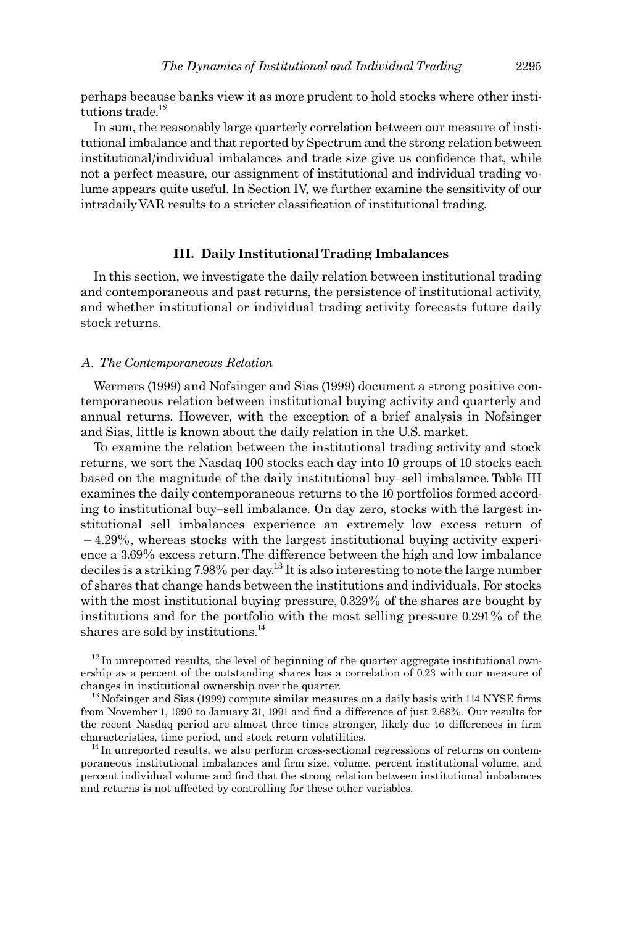perhaps because banks view it as more prudent to hold stocks where other institutions trade. $^{12}$ 

In sum, the reasonably large quarterly correlation between our measure of institutional imbalance and that reported by Spectrum and the strong relation between institutional/individual imbalances and trade size give us confidence that, while not a perfect measure, our assignment of institutional and individual trading volume appears quite useful. In Section IV, we further examine the sensitivity of our intradaily VAR results to a stricter classification of institutional trading.

## III. Daily Institutional Trading Imbalances

In this section, we investigate the daily relation between institutional trading and contemporaneous and past returns, the persistence of institutional activity, and whether institutional or individual trading activity forecasts future daily stock returns.

#### A. The Contemporaneous Relation

Wermers (1999) and Nofsinger and Sias (1999) document a strong positive contemporaneous relation between institutional buying activity and quarterly and annual returns. However, with the exception of a brief analysis in Nofsinger and Sias, little is known about the daily relation in the U.S. market.

To examine the relation between the institutional trading activity and stock returns, we sort the Nasdaq 100 stocks each day into 10 groups of 10 stocks each based on the magnitude of the daily institutional buy-sell imbalance. Table III examines the daily contemporaneous returns to the 10 portfolios formed according to institutional buy-sell imbalance. On day zero, stocks with the largest institutional sell imbalances experience an extremely low excess return of - 4.29%, whereas stocks with the largest institutional buying activity experience a  $3.69\%$  excess return. The difference between the high and low imbalance deciles is a striking 7.98% per day.<sup>13</sup> It is also interesting to note the large number of shares that change hands between the institutions and individuals. For stocks with the most institutional buying pressure, 0.329% of the shares are bought by institutions and for the portfolio with the most selling pressure 0.291% of the shares are sold by institutions.<sup>14</sup>

 $12$  In unreported results, the level of beginning of the quarter aggregate institutional ownership as a percent of the outstanding shares has a correlation of 0.23 with our measure of changes in institutional ownership over the quarter.<br><sup>13</sup> Nofsinger and Sias (1999) compute similar measures on a daily basis with 114 NYSE firms

from November 1, 1990 to January 31, 1991 and find a difference of just 2.68%. Our results for the recent Nasdaq period are almost three times stronger, likely due to differences in firm characteristics, time period, and stock return volatilities.<br><sup>14</sup> In unreported results, we also perform cross-sectional regressions of returns on contem-

poraneous institutional imbalances and ¢rm size, volume, percent institutional volume, and percent individual volume and find that the strong relation between institutional imbalances and returns is not affected by controlling for these other variables.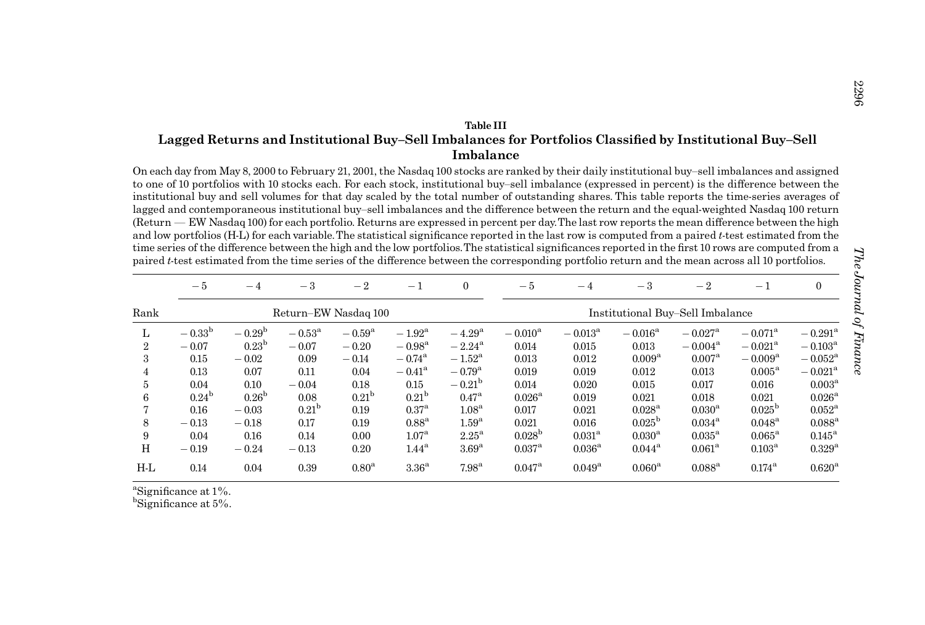## Table IIILagged Returns and Institutional Buy-Sell Imbalances for Portfolios Classified by Institutional Buy-Sell Imbalance

On each day from May 8, 2000 to February 21, 2001, the Nasdaq 100 stocks are ranked by their daily institutional buy-sell imbalances and assigned to one of 10 portfolios with 10 stocks each. For each stock, institutional buy-sell imbalance (expressed in percent) is the difference between the institutional buy and sell volumes for that day scaled by the total number of outstanding shares. This table reports the time-series averages of lagged and contemporaneous institutional buy-sell imbalances and the difference between the return and the equal-weighted Nasdaq 100 return  $(Return - EW$  Nasdaq 100) for each portfolio. Returns are expressed in percent per day. The last row reports the mean difference between the high and low portfolios (H-L) for each variable. The statistical significance reported in the last row is computed from a paired t-test estimated from the time series of the difference between the high and the low portfolios. The statistical significances reported in the first 10 rows are computed from a paired t-test estimated from the time series of the difference between the corresponding portfolio return and the mean across all 10 portfolios.

|                | $-5$              | $-4$              | $-3$              | $-2$                 | — 1               |                     | $-5$                 | $-4$               | $-3$               | $-2$                             | $-1$                 | $\Omega$             |
|----------------|-------------------|-------------------|-------------------|----------------------|-------------------|---------------------|----------------------|--------------------|--------------------|----------------------------------|----------------------|----------------------|
| Rank           |                   |                   |                   | Return-EW Nasdaq 100 |                   |                     |                      |                    |                    | Institutional Buy-Sell Imbalance |                      |                      |
| L              | $-0.33b$          | $-0.29^{b}$       | $-0.53^{\rm a}$   | $-0.59^{\rm a}$      | $-1.92^{\rm a}$   | $-4.29^{\rm a}$     | $-0.010^{\rm a}$     | $-0.013^{\rm a}$   | $-0.016^{\rm a}$   | $-0.027^{\rm a}$                 | $-0.071^{\rm a}$     | $-0.291^{\rm a}$     |
| $\overline{2}$ | $-0.07$           | 0.23 <sup>b</sup> | $-0.07$           | $-0.20$              | $-0.98^{\rm a}$   | $-2.24^{\rm a}$     | 0.014                | 0.015              | 0.013              | $-0.004^{\rm a}$                 | $-0.021^{\rm a}$     | $-0.103^{\rm a}$     |
| 3              | 0.15              | $-0.02$           | 0.09              | $-0.14$              | $-0.74^{\rm a}$   | $-1.52^{\rm a}$     | 0.013                | 0.012              | 0.009 <sup>a</sup> | $0.007^{\rm a}$                  | $-0.009^{\rm a}$     | $-0.052^{\rm a}$     |
| 4              | 0.13              | 0.07              | 0.11              | 0.04                 | $-0.41^{\rm a}$   | $-0.79^{\rm a}$     | 0.019                | 0.019              | 0.012              | 0.013                            | $0.005^{\mathrm{a}}$ | $-0.021^{\rm a}$     |
| 5              | 0.04              | 0.10              | $-0.04$           | 0.18                 | 0.15              | $-0.21^{b}$         | 0.014                | 0.020              | 0.015              | 0.017                            | 0.016                | 0.003 <sup>a</sup>   |
| 6              | 0.24 <sup>b</sup> | 0.26 <sup>b</sup> | 0.08              | 0.21 <sup>b</sup>    | 0.21 <sup>b</sup> | 0.47 <sup>a</sup>   | 0.026 <sup>a</sup>   | 0.019              | 0.021              | 0.018                            | 0.021                | $0.026^{\rm a}$      |
| Η,             | 0.16              | $-0.03$           | 0.21 <sup>b</sup> | 0.19                 | 0.37 <sup>a</sup> | 1.08 <sup>a</sup>   | 0.017                | 0.021              | 0.028 <sup>a</sup> | $0.030$ <sup>a</sup>             | $0.025^{\rm b}$      | $0.052^{\rm a}$      |
| 8              | $-0.13$           | $-0.18$           | 0.17              | 0.19                 | 0.88 <sup>a</sup> | 1.59 <sup>a</sup>   | 0.021                | 0.016              | $0.025^{\rm b}$    | $0.034^{\rm a}$                  | $0.048^{\rm a}$      | $0.088^{\circ}$      |
| 9              | 0.04              | 0.16              | 0.14              | 0.00                 | 1.07 <sup>a</sup> | $2.25^{\mathrm{a}}$ | 0.028 <sup>b</sup>   | 0.031 <sup>a</sup> | $0.030^{\rm a}$    | $0.035$ <sup>a</sup>             | $0.065^{\rm a}$      | $0.145^{\rm a}$      |
| H              | $-0.19$           | $-0.24$           | $-0.13$           | 0.20                 | $1.44^\mathrm{a}$ | 3.69 <sup>a</sup>   | $0.037$ <sup>a</sup> | 0.036 <sup>a</sup> | $0.044^{\rm a}$    | $0.061^{\rm a}$                  | $0.103^{\rm a}$      | $0.329$ <sup>a</sup> |
| H-L            | 0.14              | 0.04              | 0.39              | 0.80 <sup>a</sup>    | 3.36 <sup>a</sup> | 7.98 <sup>a</sup>   | $0.047^{\rm a}$      | $0.049^{\rm a}$    | $0.060^{\rm a}$    | $0.088^{\rm a}$                  | $0.174^{\rm a}$      | $0.620^{\circ}$      |

<sup>a</sup>Significance at  $1\%$ .

 ${}^{\text{b}}$ Significance at 5%.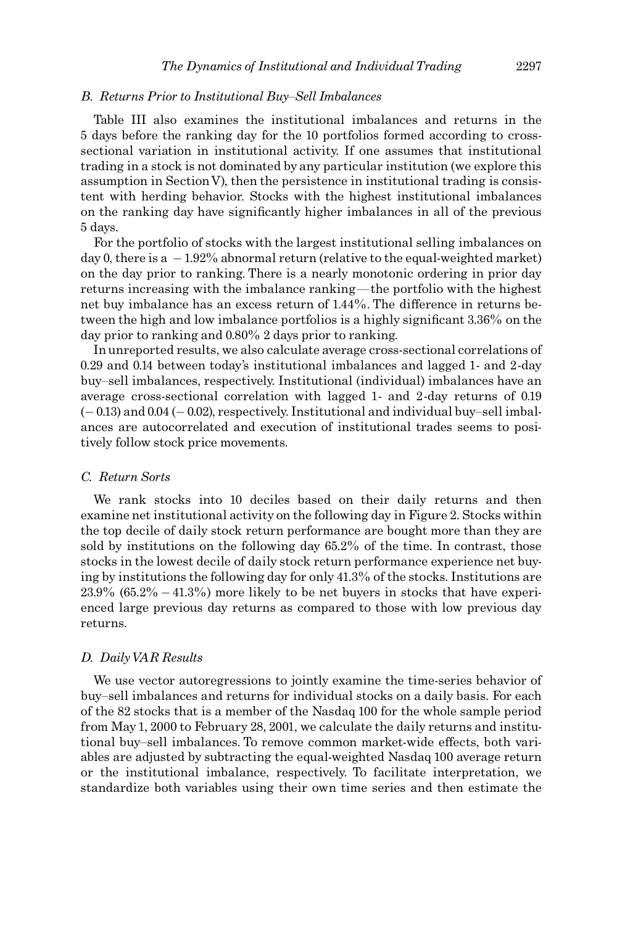#### B. Returns Prior to Institutional Buy-Sell Imbalances

Table III also examines the institutional imbalances and returns in the 5 days before the ranking day for the 10 portfolios formed according to crosssectional variation in institutional activity. If one assumes that institutional trading in a stock is not dominated by any particular institution (we explore this assumption in SectionV), then the persistence in institutional trading is consistent with herding behavior. Stocks with the highest institutional imbalances on the ranking day have signi¢cantly higher imbalances in all of the previous 5 days.

For the portfolio of stocks with the largest institutional selling imbalances on day 0, there is  $a - 1.92\%$  abnormal return (relative to the equal-weighted market) on the day prior to ranking. There is a nearly monotonic ordering in prior day returns increasing with the imbalance ranking—the portfolio with the highest net buy imbalance has an excess return of  $1.44\%$ . The difference in returns between the high and low imbalance portfolios is a highly significant 3.36% on the day prior to ranking and 0.80% 2 days prior to ranking.

In unreported results, we also calculate average cross-sectional correlations of 0.29 and 0.14 between today's institutional imbalances and lagged 1- and 2-day buy^sell imbalances, respectively. Institutional (individual) imbalances have an average cross-sectional correlation with lagged 1- and 2-day returns of 0.19  $(-0.13)$  and  $0.04$   $(-0.02)$ , respectively. Institutional and individual buy–sell imbalances are autocorrelated and execution of institutional trades seems to positively follow stock price movements.

## C. Return Sorts

We rank stocks into 10 deciles based on their daily returns and then examine net institutional activity on the following day in Figure 2. Stocks within the top decile of daily stock return performance are bought more than they are sold by institutions on the following day 65.2% of the time. In contrast, those stocks in the lowest decile of daily stock return performance experience net buying by institutions the following day for only 41.3% of the stocks. Institutions are  $23.9\%$  (65.2%  $-41.3\%$ ) more likely to be net buyers in stocks that have experienced large previous day returns as compared to those with low previous day returns.

#### D. DailyVAR Results

We use vector autoregressions to jointly examine the time-series behavior of buy-sell imbalances and returns for individual stocks on a daily basis. For each of the 82 stocks that is a member of the Nasdaq 100 for the whole sample period from May 1, 2000 to February 28, 2001, we calculate the daily returns and institutional buy-sell imbalances. To remove common market-wide effects, both variables are adjusted by subtracting the equal-weighted Nasdaq 100 average return or the institutional imbalance, respectively. To facilitate interpretation, we standardize both variables using their own time series and then estimate the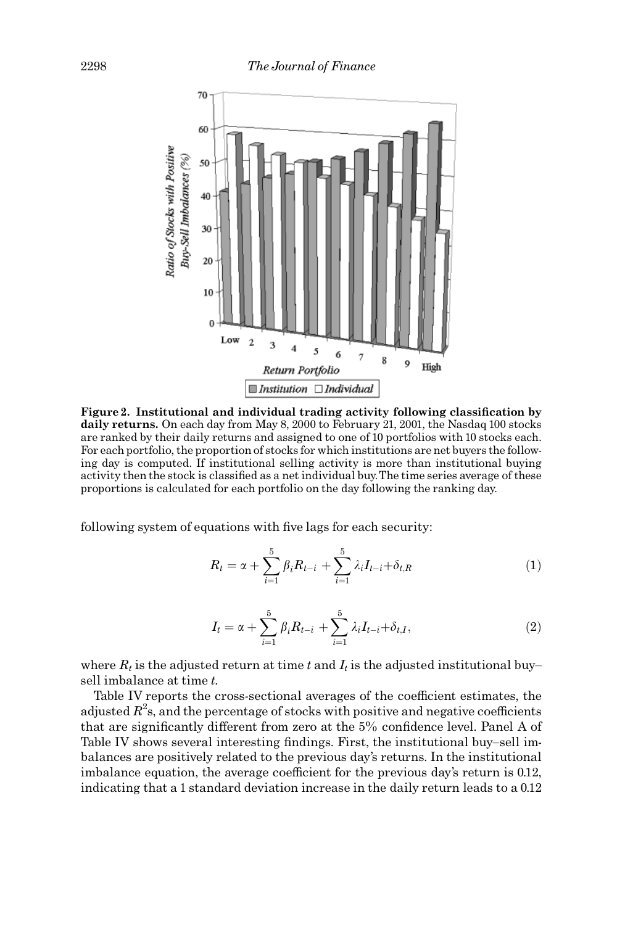

Figure 2. Institutional and individual trading activity following classification by daily returns. On each day from May 8, 2000 to February 21, 2001, the Nasdaq 100 stocks are ranked by their daily returns and assigned to one of 10 portfolios with 10 stocks each. For each portfolio, the proportion of stocks for which institutions are net buyers the following day is computed. If institutional selling activity is more than institutional buying activity then the stock is classified as a net individual buy. The time series average of these proportions is calculated for each portfolio on the day following the ranking day.

following system of equations with five lags for each security:

$$
R_{t} = \alpha + \sum_{i=1}^{5} \beta_{i} R_{t-i} + \sum_{i=1}^{5} \lambda_{i} I_{t-i} + \delta_{t,R}
$$
 (1)

$$
I_{t} = \alpha + \sum_{i=1}^{5} \beta_{i} R_{t-i} + \sum_{i=1}^{5} \lambda_{i} I_{t-i} + \delta_{t,I},
$$
\n(2)

where  $R_t$  is the adjusted return at time t and  $I_t$  is the adjusted institutional buysell imbalance at time t.

Table IV reports the cross-sectional averages of the coefficient estimates, the adjusted  $R^2$ s, and the percentage of stocks with positive and negative coefficients that are significantly different from zero at the  $5\%$  confidence level. Panel A of Table IV shows several interesting findings. First, the institutional buy-sell imbalances are positively related to the previous day's returns. In the institutional imbalance equation, the average coefficient for the previous day's return is 0.12, indicating that a 1 standard deviation increase in the daily return leads to a 0.12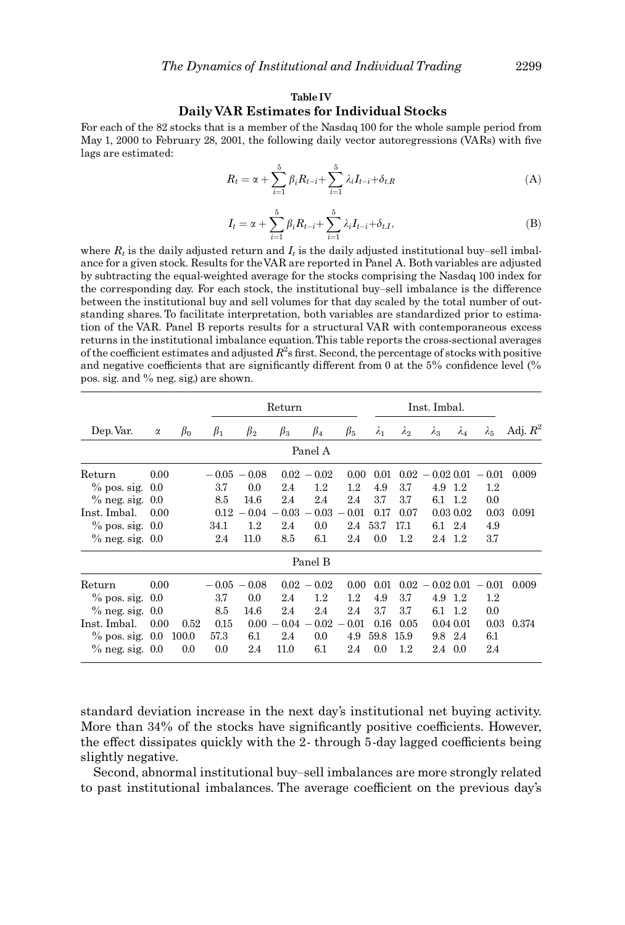#### Table IV DailyVAR Estimates for Individual Stocks

For each of the 82 stocks that is a member of the Nasdaq 100 for the whole sample period from May 1, 2000 to February 28, 2001, the following daily vector autoregressions (VARs) with five lags are estimated:

$$
R_{t} = \alpha + \sum_{i=1}^{5} \beta_{i} R_{t-i} + \sum_{i=1}^{5} \lambda_{i} I_{t-i} + \delta_{t,R}
$$
 (A)

$$
I_{t} = \alpha + \sum_{i=1}^{5} \beta_{i} R_{t-i} + \sum_{i=1}^{5} \lambda_{i} I_{t-i} + \delta_{t,I},
$$
 (B)

where  $R_t$  is the daily adjusted return and  $I_t$  is the daily adjusted institutional buy-sell imbalance for a given stock. Results for theVAR are reported in Panel A. Both variables are adjusted by subtracting the equal-weighted average for the stocks comprising the Nasdaq 100 index for the corresponding day. For each stock, the institutional buy-sell imbalance is the difference between the institutional buy and sell volumes for that day scaled by the total number of outstanding shares. To facilitate interpretation, both variables are standardized prior to estimation of the VAR. Panel B reports results for a structural VAR with contemporaneous excess returns in the institutional imbalance equation.This table reports the cross-sectional averages of the coefficient estimates and adjusted  $R^2$ s first. Second, the percentage of stocks with positive and negative coefficients that are significantly different from 0 at the  $5\%$  confidence level (%) pos. sig. and % neg. sig.) are shown.

|                                                                                                            |                     |                      |                                   |                                                                     | Return                                                |                                                                       |                                                     |                                           |                                       | Inst. Imbal.             |                                         |                                                                   |                |
|------------------------------------------------------------------------------------------------------------|---------------------|----------------------|-----------------------------------|---------------------------------------------------------------------|-------------------------------------------------------|-----------------------------------------------------------------------|-----------------------------------------------------|-------------------------------------------|---------------------------------------|--------------------------|-----------------------------------------|-------------------------------------------------------------------|----------------|
| Dep. Var.                                                                                                  | α                   | $\beta_0$            | $\beta_1$                         | $\beta_2$                                                           | $\beta_3$                                             | $\beta_4$                                                             | $\beta_5$                                           | $\lambda_1$                               | $\lambda_2$                           | $\lambda_3$              | $\lambda_4$                             | $\lambda_{5}$                                                     | Adj. $R^2$     |
|                                                                                                            |                     |                      |                                   |                                                                     |                                                       | Panel A                                                               |                                                     |                                           |                                       |                          |                                         |                                                                   |                |
| Return<br>$\%$ pos. sig.<br>$\%$ neg. sig. 0.0<br>Inst. Imbal.<br>$\%$ pos. sig. 0.0<br>$\%$ neg. sig. 0.0 | 0.00<br>0.0<br>0.00 |                      | 3.7<br>8.5<br>34.1<br>2.4         | $-0.05 - 0.08$<br>0.0<br>14.6<br>$0.12 - 0.04 -$<br>$1.2\,$<br>11.0 | 2.4<br>2.4<br>2.4<br>8.5                              | $0.02 - 0.02$<br>$1.2\,$<br>2.4<br>$0.03 - 0.03$<br>0.0<br>6.1        | $0.00\,$<br>$1.2\,$<br>2.4<br>$-0.01$<br>2.4<br>2.4 | 0.01<br>4.9<br>3.7<br>0.17<br>53.7<br>0.0 | 3.7<br>3.7<br>0.07<br>17.1<br>$1.2\,$ | 4.9<br>6.1<br>6.1<br>2.4 | 1.2<br>1.2<br>0.03002<br>2.4<br>$1.2\,$ | $0.02 - 0.02 0.01 - 0.01$<br>$1.2\,$<br>0.0<br>0.03<br>4.9<br>3.7 | 0.009<br>0.091 |
|                                                                                                            |                     |                      |                                   |                                                                     |                                                       | Panel B                                                               |                                                     |                                           |                                       |                          |                                         |                                                                   |                |
| Return<br>$\%$ pos. sig. 0.0<br>$\%$ neg. sig.<br>Inst. Imbal.<br>$\%$ pos. sig. 0.0<br>$\%$ neg. sig. 0.0 | 0.00<br>0.0<br>0.00 | 0.52<br>100.0<br>0.0 | 3.7<br>8.5<br>0.15<br>57.3<br>0.0 | $-0.05 - 0.08$<br>0.0<br>14.6<br>0.00<br>6.1<br>2.4                 | 2.4<br>2.4<br>$\overline{\phantom{m}}$<br>2.4<br>11.0 | $0.02 - 0.02$<br>$1.2\,$<br>2.4<br>$0.04 - 0.02 - 0.01$<br>0.0<br>6.1 | 0.00<br>$1.2\,$<br>2.4<br>4.9<br>2.4                | 0.01<br>4.9<br>3.7<br>0.16<br>59.8<br>0.0 | 3.7<br>3.7<br>0.05<br>15.9<br>$1.2\,$ | 4.9<br>6.1<br>9.8<br>2.4 | 1.2<br>1.2<br>0.04 0.01<br>2.4<br>0.0   | $0.02 - 0.02 0.01 - 0.01$<br>$1.2\,$<br>0.0<br>0.03<br>6.1<br>2.4 | 0.009<br>0.374 |

standard deviation increase in the next day's institutional net buying activity. More than  $34\%$  of the stocks have significantly positive coefficients. However, the effect dissipates quickly with the  $2$ -through  $5$ -day lagged coefficients being slightly negative.

Second, abnormal institutional buy-sell imbalances are more strongly related to past institutional imbalances. The average coefficient on the previous day's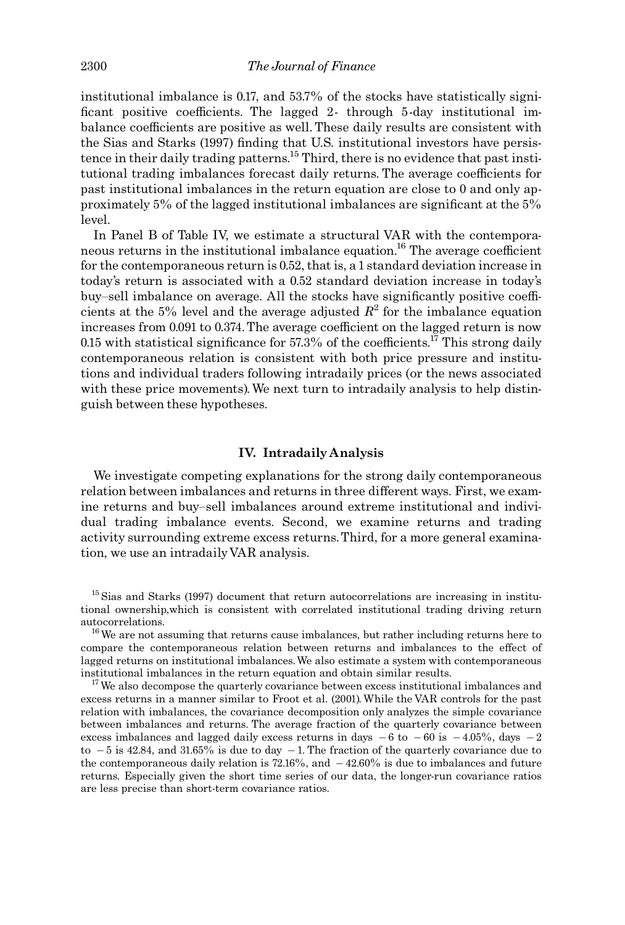institutional imbalance is 0.17, and 53.7% of the stocks have statistically signi ficant positive coefficients. The lagged 2- through  $5$ -day institutional imbalance coefficients are positive as well. These daily results are consistent with the Sias and Starks (1997) finding that U.S. institutional investors have persistence in their daily trading patterns.<sup>15</sup> Third, there is no evidence that past institutional trading imbalances forecast daily returns. The average coefficients for past institutional imbalances in the return equation are close to 0 and only approximately  $5\%$  of the lagged institutional imbalances are significant at the  $5\%$ level.

In Panel B of Table IV, we estimate a structural VAR with the contemporaneous returns in the institutional imbalance equation.<sup>16</sup> The average coefficient for the contemporaneous return is 0.52, that is, a 1 standard deviation increase in today's return is associated with a 0.52 standard deviation increase in today's buy-sell imbalance on average. All the stocks have significantly positive coefficients at the 5% level and the average adjusted  $R^2$  for the imbalance equation increases from  $0.091$  to  $0.374$ . The average coefficient on the lagged return is now 0.15 with statistical significance for 57.3% of the coefficients.<sup>17</sup> This strong daily contemporaneous relation is consistent with both price pressure and institutions and individual traders following intradaily prices (or the news associated with these price movements). We next turn to intradaily analysis to help distinguish between these hypotheses.

#### IV. IntradailyAnalysis

We investigate competing explanations for the strong daily contemporaneous relation between imbalances and returns in three different ways. First, we examine returns and buy-sell imbalances around extreme institutional and individual trading imbalance events. Second, we examine returns and trading activity surrounding extreme excess returns.Third, for a more general examination, we use an intradailyVAR analysis.

<sup>15</sup> Sias and Starks (1997) document that return autocorrelations are increasing in institutional ownership,which is consistent with correlated institutional trading driving return autocorrelations.<br><sup>16</sup>We are not assuming that returns cause imbalances, but rather including returns here to

compare the contemporaneous relation between returns and imbalances to the effect of lagged returns on institutional imbalances.We also estimate a system with contemporaneous institutional imbalances in the return equation and obtain similar results.  $17$  We also decompose the quarterly covariance between excess institutional imbalances and

excess returns in a manner similar to Froot et al. (2001). While the VAR controls for the past relation with imbalances, the covariance decomposition only analyzes the simple covariance between imbalances and returns. The average fraction of the quarterly covariance between excess imbalances and lagged daily excess returns in days  $-6$  to  $-60$  is  $-4.05\%$ , days  $-2$ to  $-5$  is 42.84, and 31.65% is due to day  $-1$ . The fraction of the quarterly covariance due to the contemporaneous daily relation is  $72.16\%$ , and  $-42.60\%$  is due to imbalances and future returns. Especially given the short time series of our data, the longer-run covariance ratios are less precise than short-term covariance ratios.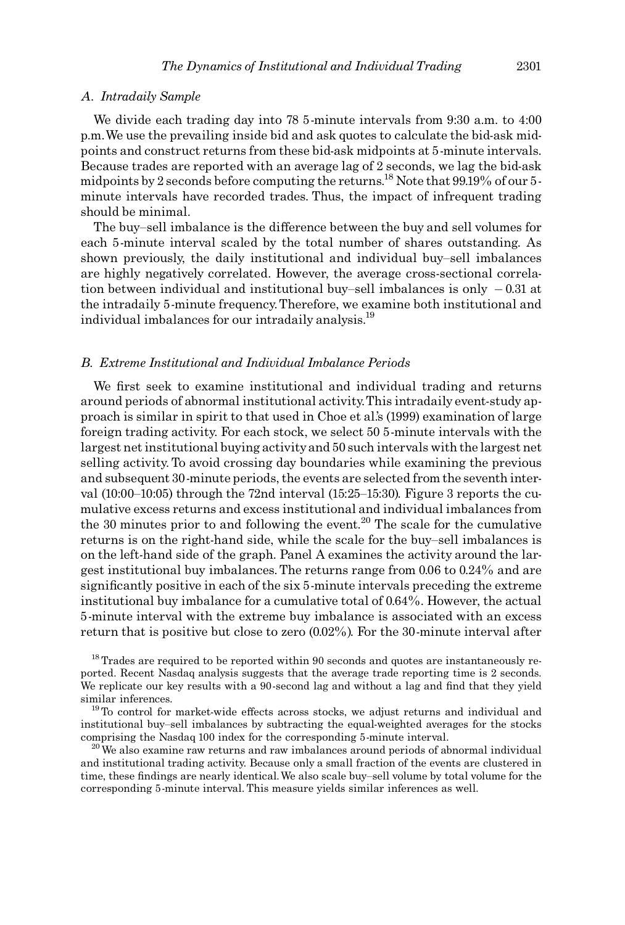# A. Intradaily Sample

We divide each trading day into 78 5-minute intervals from 9:30 a.m. to 4:00 p.m.We use the prevailing inside bid and ask quotes to calculate the bid-ask midpoints and construct returns from these bid-ask midpoints at 5-minute intervals. Because trades are reported with an average lag of 2 seconds, we lag the bid-ask midpoints by 2 seconds before computing the returns.<sup>18</sup> Note that  $99.19\%$  of our 5minute intervals have recorded trades. Thus, the impact of infrequent trading should be minimal.

The buy-sell imbalance is the difference between the buy and sell volumes for each 5-minute interval scaled by the total number of shares outstanding. As shown previously, the daily institutional and individual buy-sell imbalances are highly negatively correlated. However, the average cross-sectional correlation between individual and institutional buy-sell imbalances is only  $-0.31$  at the intradaily 5-minute frequency.Therefore, we examine both institutional and individual imbalances for our intradaily analysis.<sup>19</sup>

#### B. Extreme Institutional and Individual Imbalance Periods

We first seek to examine institutional and individual trading and returns around periods of abnormal institutional activity.This intradaily event-study approach is similar in spirit to that used in Choe et al.'s (1999) examination of large foreign trading activity. For each stock, we select 50 5-minute intervals with the largest net institutional buying activity and 50 such intervals with the largest net selling activity. To avoid crossing day boundaries while examining the previous and subsequent 30-minute periods, the events are selected from the seventh interval  $(10:00-10:05)$  through the 72nd interval  $(15:25-15:30)$ . Figure 3 reports the cumulative excess returns and excess institutional and individual imbalances from the 30 minutes prior to and following the event.<sup>20</sup> The scale for the cumulative returns is on the right-hand side, while the scale for the buy-sell imbalances is on the left-hand side of the graph. Panel A examines the activity around the largest institutional buy imbalances. The returns range from 0.06 to 0.24% and are significantly positive in each of the six 5-minute intervals preceding the extreme institutional buy imbalance for a cumulative total of 0.64%. However, the actual 5-minute interval with the extreme buy imbalance is associated with an excess return that is positive but close to zero (0.02%). For the 30-minute interval after

 $18$  Trades are required to be reported within 90 seconds and quotes are instantaneously reported. Recent Nasdaq analysis suggests that the average trade reporting time is 2 seconds. We replicate our key results with a 90-second lag and without a lag and find that they yield similar inferences.<br><sup>19</sup>To control for market-wide effects across stocks, we adjust returns and individual and

institutional buy-sell imbalances by subtracting the equal-weighted averages for the stocks comprising the Nasdaq 100 index for the corresponding 5-minute interval.<br><sup>20</sup>We also examine raw returns and raw imbalances around periods of abnormal individual

and institutional trading activity. Because only a small fraction of the events are clustered in time, these findings are nearly identical. We also scale buy-sell volume by total volume for the corresponding 5-minute interval. This measure yields similar inferences as well.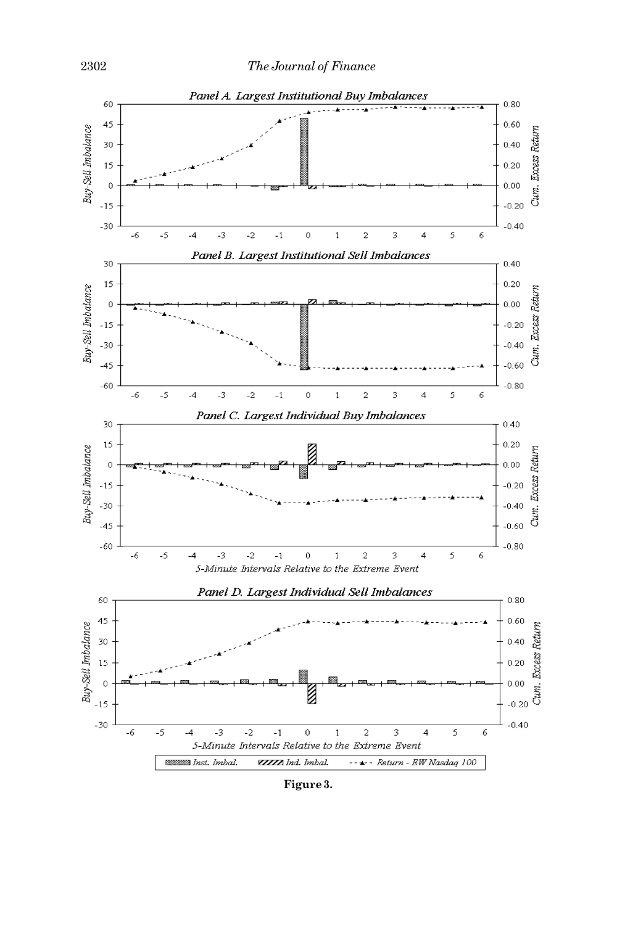

Figure 3.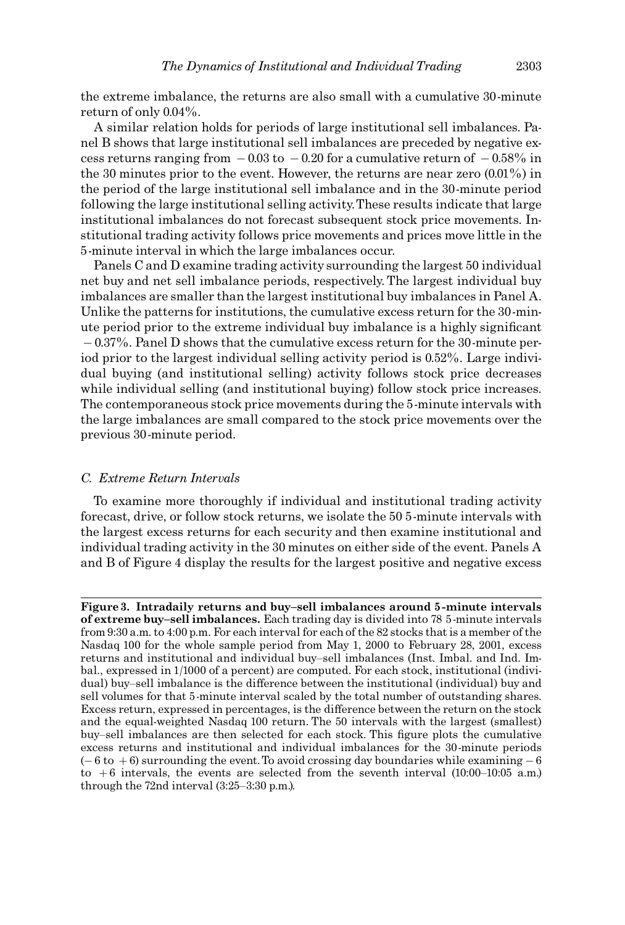the extreme imbalance, the returns are also small with a cumulative 30-minute return of only 0.04%.

A similar relation holds for periods of large institutional sell imbalances. Panel B shows that large institutional sell imbalances are preceded by negative excess returns ranging from  $-0.03$  to  $-0.20$  for a cumulative return of  $-0.58\%$  in the 30 minutes prior to the event. However, the returns are near zero  $(0.01\%)$  in the period of the large institutional sell imbalance and in the 30-minute period following the large institutional selling activity.These results indicate that large institutional imbalances do not forecast subsequent stock price movements. Institutional trading activity follows price movements and prices move little in the 5-minute interval in which the large imbalances occur.

Panels C and D examine trading activity surrounding the largest 50 individual net buy and net sell imbalance periods, respectively. The largest individual buy imbalances are smaller than the largest institutional buy imbalances in Panel A. Unlike the patterns for institutions, the cumulative excess return for the 30-minute period prior to the extreme individual buy imbalance is a highly significant - 0.37%. Panel D shows that the cumulative excess return for the 30-minute period prior to the largest individual selling activity period is 0.52%. Large individual buying (and institutional selling) activity follows stock price decreases while individual selling (and institutional buying) follow stock price increases. The contemporaneous stock price movements during the 5-minute intervals with the large imbalances are small compared to the stock price movements over the previous 30-minute period.

#### C. Extreme Return Intervals

To examine more thoroughly if individual and institutional trading activity forecast, drive, or follow stock returns, we isolate the 50 5-minute intervals with the largest excess returns for each security and then examine institutional and individual trading activity in the 30 minutes on either side of the event. Panels A and B of Figure 4 display the results for the largest positive and negative excess

Figure 3. Intradaily returns and buy-sell imbalances around 5-minute intervals of extreme buy-sell imbalances. Each trading day is divided into 78 5-minute intervals from 9:30 a.m. to 4:00 p.m. For each interval for each of the 82 stocks that is a member of the Nasdaq 100 for the whole sample period from May 1, 2000 to February 28, 2001, excess returns and institutional and individual buy-sell imbalances (Inst. Imbal. and Ind. Imbal., expressed in 1/1000 of a percent) are computed. For each stock, institutional (individual) buy-sell imbalance is the difference between the institutional (individual) buy and sell volumes for that 5-minute interval scaled by the total number of outstanding shares. Excess return, expressed in percentages, is the difference between the return on the stock and the equal-weighted Nasdaq 100 return. The 50 intervals with the largest (smallest) buy-sell imbalances are then selected for each stock. This figure plots the cumulative excess returns and institutional and individual imbalances for the 30-minute periods (– 6 to  $+$  6) surrounding the event. To avoid crossing day boundaries while examining – 6 to  $+6$  intervals, the events are selected from the seventh interval  $(10:00-10:05 \text{ a.m.})$ through the 72nd interval  $(3:25-3:30 \text{ p.m.})$ .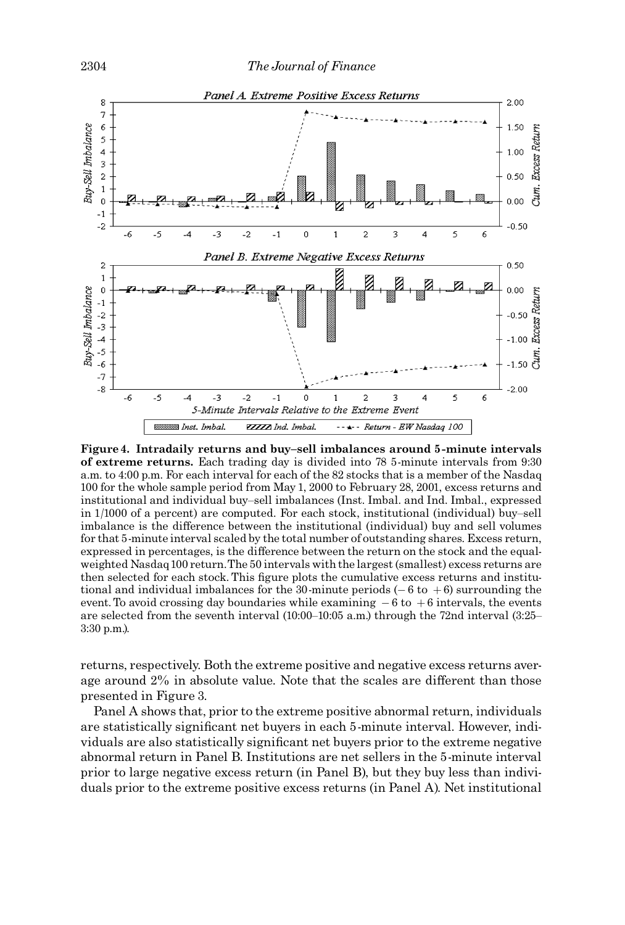

Figure 4. Intradaily returns and buy-sell imbalances around 5-minute intervals of extreme returns. Each trading day is divided into 78 5-minute intervals from 9:30 a.m. to 4:00 p.m. For each interval for each of the 82 stocks that is a member of the Nasdaq 100 for the whole sample period from May 1, 2000 to February 28, 2001, excess returns and institutional and individual buy-sell imbalances (Inst. Imbal. and Ind. Imbal., expressed in 1/1000 of a percent) are computed. For each stock, institutional (individual) buy-sell imbalance is the difference between the institutional (individual) buy and sell volumes for that 5-minute interval scaled by the total number of outstanding shares. Excess return, expressed in percentages, is the difference between the return on the stock and the equalweighted Nasdaq 100 return.The 50 intervals with the largest (smallest) excess returns are then selected for each stock. This figure plots the cumulative excess returns and institutional and individual imbalances for the 30-minute periods  $(-6 \text{ to } +6)$  surrounding the event. To avoid crossing day boundaries while examining  $-6$  to  $+6$  intervals, the events are selected from the seventh interval  $(10:00-10:05$  a.m.) through the 72nd interval  $(3:25-$ 3:30 p.m.).

returns, respectively. Both the extreme positive and negative excess returns average around  $2\%$  in absolute value. Note that the scales are different than those presented in Figure 3.

Panel A shows that, prior to the extreme positive abnormal return, individuals are statistically significant net buyers in each 5-minute interval. However, individuals are also statistically significant net buyers prior to the extreme negative abnormal return in Panel B. Institutions are net sellers in the 5-minute interval prior to large negative excess return (in Panel B), but they buy less than individuals prior to the extreme positive excess returns (in Panel A). Net institutional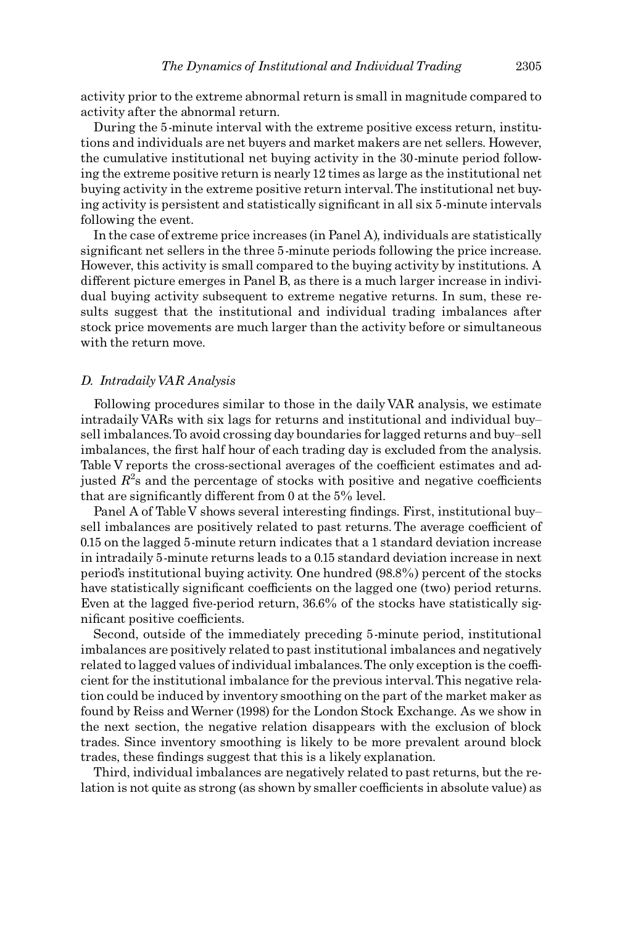activity prior to the extreme abnormal return is small in magnitude compared to activity after the abnormal return.

During the 5-minute interval with the extreme positive excess return, institutions and individuals are net buyers and market makers are net sellers. However, the cumulative institutional net buying activity in the 30-minute period following the extreme positive return is nearly 12 times as large as the institutional net buying activity in the extreme positive return interval.The institutional net buying activity is persistent and statistically signi¢cant in all six 5-minute intervals following the event.

In the case of extreme price increases (in Panel A), individuals are statistically significant net sellers in the three 5-minute periods following the price increase. However, this activity is small compared to the buying activity by institutions. A different picture emerges in Panel B, as there is a much larger increase in individual buying activity subsequent to extreme negative returns. In sum, these results suggest that the institutional and individual trading imbalances after stock price movements are much larger than the activity before or simultaneous with the return move.

# D. Intradaily VAR Analysis

Following procedures similar to those in the daily VAR analysis, we estimate intradaily VARs with six lags for returns and institutional and individual buy^ sell imbalances. To avoid crossing day boundaries for lagged returns and buy-sell imbalances, the first half hour of each trading day is excluded from the analysis. Table V reports the cross-sectional averages of the coefficient estimates and adjusted  $R^2$ s and the percentage of stocks with positive and negative coefficients that are significantly different from 0 at the  $5\%$  level.

Panel A of Table V shows several interesting findings. First, institutional buysell imbalances are positively related to past returns. The average coefficient of 0.15 on the lagged 5-minute return indicates that a 1 standard deviation increase in intradaily 5-minute returns leads to a 0.15 standard deviation increase in next period's institutional buying activity. One hundred (98.8%) percent of the stocks have statistically significant coefficients on the lagged one (two) period returns. Even at the lagged five-period return,  $36.6\%$  of the stocks have statistically significant positive coefficients.

Second, outside of the immediately preceding 5-minute period, institutional imbalances are positively related to past institutional imbalances and negatively related to lagged values of individual imbalances. The only exception is the coefficient for the institutional imbalance for the previous interval.This negative relation could be induced by inventory smoothing on the part of the market maker as found by Reiss and Werner (1998) for the London Stock Exchange. As we show in the next section, the negative relation disappears with the exclusion of block trades. Since inventory smoothing is likely to be more prevalent around block trades, these findings suggest that this is a likely explanation.

Third, individual imbalances are negatively related to past returns, but the relation is not quite as strong (as shown by smaller coefficients in absolute value) as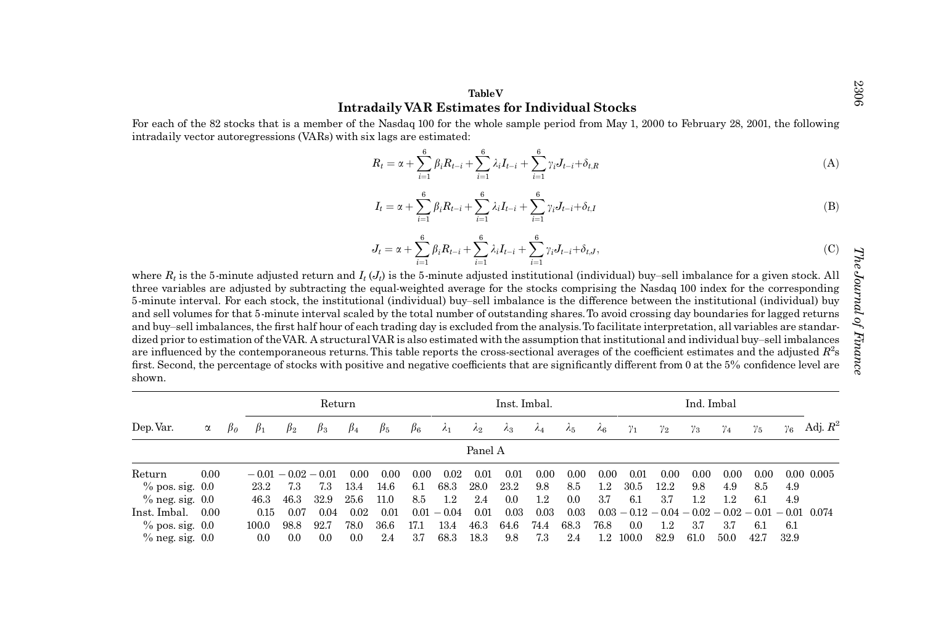## TableVIntradaily VAR Estimates for Individual Stocks

For each of the 82 stocks that is <sup>a</sup> member of the Nasdaq 100 for the whole sample period from May 1, 2000 to February 28, 2001, the following intradaily vector autoregressions (VARs) with six lags are estimated:

$$
R_{t} = \alpha + \sum_{i=1}^{6} \beta_{i} R_{t-i} + \sum_{i=1}^{6} \lambda_{i} I_{t-i} + \sum_{i=1}^{6} \gamma_{i} J_{t-i} + \delta_{t,R}
$$
(A)

$$
I_{t} = \alpha + \sum_{i=1}^{6} \beta_{i} R_{t-i} + \sum_{i=1}^{6} \lambda_{i} I_{t-i} + \sum_{i=1}^{6} \gamma_{i} J_{t-i} + \delta_{t,I}
$$
 (B)

$$
J_t = \alpha + \sum_{i=1}^{6} \beta_i R_{t-i} + \sum_{i=1}^{6} \lambda_i I_{t-i} + \sum_{i=1}^{6} \gamma_i J_{t-i} + \delta_{t,J},
$$
 (C)

where  $R_t$  is the 5-minute adjusted return and  $I_t(J_t)$  is the 5-minute adjusted institutional (individual) buy-sell imbalance for a given stock. All three variables are adjusted by subtracting the equal-weighted average for the stocks comprising the Nasdaq 100 index for the corresponding 5-minute interval. For each stock, the institutional (individual) buy-sell imbalance is the difference between the institutional (individual) buy and sell volumes for that 5-minute interval scaled by the total number of outstanding shares.To avoid crossing day boundaries for lagged returns and buy-sell imbalances, the first half hour of each trading day is excluded from the analysis. To facilitate interpretation, all variables are standardized prior to estimation of the VAR. A structural VAR is also estimated with the assumption that institutional and individual buy-sell imbalances are influenced by the contemporaneous returns. This table reports the cross-sectional averages of the coefficient estimates and the adjusted  $R^2$ s first. Second, the percentage of stocks with positive and negative coefficients that are significantly different from 0 at the  $5\%$  confidence level are shown.

|                    |      |           |                       |           | Return    |           |             |           |             |             | Inst. Imbal. |             |               |               |            |                                                        | Ind. Imbal |            |              |            |            |
|--------------------|------|-----------|-----------------------|-----------|-----------|-----------|-------------|-----------|-------------|-------------|--------------|-------------|---------------|---------------|------------|--------------------------------------------------------|------------|------------|--------------|------------|------------|
| Dep. Var.          | α    | $\beta_0$ | $p_1$                 | $\beta_2$ | $\beta_3$ | $\beta_4$ | $\beta_{5}$ | $\beta_6$ | $\lambda_1$ | $\lambda_2$ | $\lambda_3$  | $\Lambda_4$ | $\lambda_{5}$ | $\Lambda_{6}$ | $\gamma_1$ | $\gamma_2$                                             | $\gamma_3$ | $\gamma_4$ | $\gamma_{5}$ | $\gamma_6$ | Adj. $R^2$ |
|                    |      |           |                       |           |           |           |             |           |             | Panel A     |              |             |               |               |            |                                                        |            |            |              |            |            |
| Return             | 0.00 |           | $-0.01 - 0.02 - 0.01$ |           |           | 0.00      | 0.00        | 0.00      | 0.02        | 0.01        | 0.01         | 0.00        | 0.00          | 0.00          | 0.01       | 0.00                                                   | 0.00       | 0.00       | 0.00         |            | 0.00 0.005 |
| $\%$ pos. sig. 0.0 |      |           | 23.2                  | 73        | 7.3       | 13.4      | 14.6        | 6.1       | 68.3        | 28.0        | 23.2         | 9.8         | 8.5           | 1.2           | 30.5       | 12.2                                                   | 9.8        | 4.9        | 8.5          | 4.9        |            |
| $\%$ neg. sig. 0.0 |      |           | 46.3                  | 46.3      | 32.9      | 25.6      | 11.0        | 8.5       | $1.2\,$     | 2.4         | 0.0          | $1.2\,$     | 0.0           | 3.7           | 6.1        | 3.7                                                    | $1.2\,$    | 1.2        | 6.1          | 4.9        |            |
| Inst. Imbal.       | 0.00 |           | 0.15                  | 0.07      | 0.04      | 0.02      | 0.01        | 0.01      | $-0.04$     | 0.01        | 0.03         | 0.03        | 0.03          |               |            | $0.03 - 0.12 - 0.04 - 0.02 - 0.02 - 0.01 - 0.01$ 0.074 |            |            |              |            |            |
| $\%$ pos. sig. 0.0 |      |           | 100.0                 | 98.8      | 92.7      | 78.0      | 36.6        | 17.1      | 13.4        | 46.3        | 64.6         | 74.4        | 68.3          | 76.8          | 0.0        | $1.2\,$                                                | 3.7        | 3.7        | 6.1          | 6.1        |            |
| $\%$ neg. sig. 0.0 |      |           | 0.0                   | 0.0       | 0.0       | 0.0       | 2.4         | 3.7       | 68.3        | 18.3        | 9.8          | 7.3         | 2.4           | 1.2           | 100.0      | 82.9                                                   | 61.0       | 50.0       | 42.7         | 32.9       |            |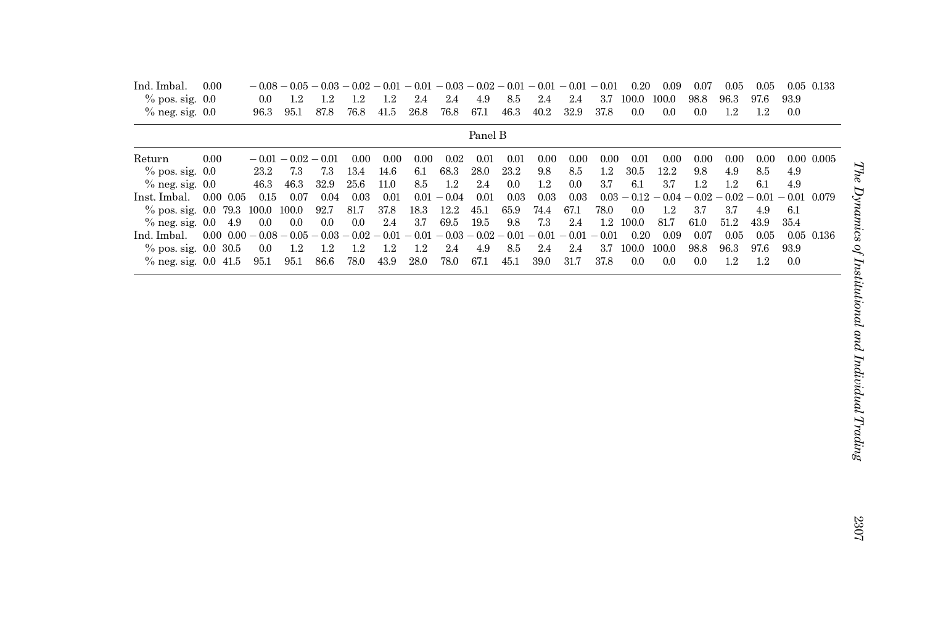| Ind. Imbal.<br>$\%$ pos. sig. 0.0<br>$\%$ neg. sig. 0.0 | 0.00 |              | 0.0<br>96.3 | 1.2.<br>95.1          | $-0.08 - 0.05 - 0.03 - 0.02 - 0.01 - 0.01 - 0.03 - 0.02 - 0.01 - 0.01 - 0.01$<br>$1.2\,$<br>87.8 | $1.2\,$<br>76.8 | 1.2.<br>41.5 | 2.4<br>26.8 | 2.4<br>76.8 | 4.9<br>67.1                  | 8.5<br>46.3 | 2.4<br>40.2 | 2.4<br>32.9 | $-0.01$<br>3.7<br>37.8 | 0.20<br>100.0<br>0.0 | 0.09<br>100.0<br>0.0                      | 0.07<br>98.8<br>0.0 | 0.05<br>96.3<br>$1.2\,$ | 0.05<br>97.6<br>$1.2\,$ | 93.9<br>0.0   | 0.05 0.133   |
|---------------------------------------------------------|------|--------------|-------------|-----------------------|--------------------------------------------------------------------------------------------------|-----------------|--------------|-------------|-------------|------------------------------|-------------|-------------|-------------|------------------------|----------------------|-------------------------------------------|---------------------|-------------------------|-------------------------|---------------|--------------|
|                                                         |      |              |             |                       |                                                                                                  |                 |              |             |             | Panel B                      |             |             |             |                        |                      |                                           |                     |                         |                         |               |              |
| Return                                                  | 0.00 |              |             | $-0.01 - 0.02 - 0.01$ |                                                                                                  | 0.00            | 0.00         | 0.00        | 0.02        | 0.01                         | 0.01        | 0.00        | 0.00        | 0.00                   | 0.01                 | 0.00                                      | 0.00                | 0.00                    | 0.00                    | $0.00 -$      | -0.005       |
| $\%$ pos. sig. 0.0                                      |      |              | 23.2        | 7.3                   | 7.3                                                                                              | 13.4            | 14.6         | 6.1         | 68.3        | 28.0                         | 23.2        | 9.8         | 8.5         | $1.2\,$                | 30.5                 | 12.2                                      | 9.8                 | 4.9                     | 8.5                     | 4.9           |              |
| $\%$ neg. sig. 0.0                                      |      |              | 46.3        | 46.3                  | 32.9                                                                                             | 25.6            | 11.0         | 8.5         | 1.2         | 2.4                          | $0.0\,$     | $1.2\,$     | $0.0\,$     | 3.7                    | 6.1                  | 3.7                                       | 1.2.                | $1.2\,$                 | 6.1                     | 4.9           |              |
| Inst. Imbal.                                            |      | $0.00\ 0.05$ | 0.15        | 0.07                  | 0.04                                                                                             | 0.03            | 0.01         | 0.01        | $-0.04$     | 0.01                         | 0.03        | 0.03        | 0.03        |                        |                      | $0.03 - 0.12 - 0.04 - 0.02 - 0.02 - 0.01$ |                     |                         |                         | $-0.01$ 0.079 |              |
| $\%$ pos. sig. 0.0 79.3 100.0 100.0                     |      |              |             |                       | 92.7                                                                                             | 81.7            | 37.8         | 18.3        | 12.2        | 45.1                         | 65.9        | 74.4        | 67.1        | 78.0                   | $0.0^{\circ}$        | 1.2                                       | -3.7                | 3.7                     | 4.9                     | 6.1           |              |
| $\%$ neg. sig. 0.0                                      |      | 4.9          | $0.0\,$     | 0.0                   | $0.0\,$                                                                                          | $0.0\,$         | 2.4          | 3.7         | 69.5        | 19.5                         | 9.8         | 7.3         | 2.4         | 1.2                    | 100.0                | 81.7                                      | 61.0                | 51.2                    | 43.9                    | 35.4          |              |
| Ind. Imbal.                                             |      |              |             |                       | $0.00 \quad 0.00 - 0.08 - 0.05 - 0.03 - 0.02 - 0.01 - 0.01$                                      |                 |              |             |             | $-0.03 - 0.02 - 0.01 - 0.01$ |             |             | $-0.01$     | $-0.01$                | 0.20                 | 0.09                                      | 0.07                | 0.05                    | 0.05                    |               | $0.05$ 0.136 |
| $\%$ pos. sig. 0.0 30.5                                 |      |              | $0.0\,$     | $1.2\,$               | $1.2\,$                                                                                          | $1.2\,$         | $1.2\,$      | $1.2\,$     | 2.4         | 4.9                          | 8.5         | 2.4         | 2.4         | 3.7                    | 100.0                | 100.0                                     | 98.8                | 96.3                    | 97.6                    | 93.9          |              |
| $\%$ neg. sig. 0.0 41.5                                 |      |              | 95.1        | 95.1                  | 86.6                                                                                             | 78.0            | 43.9         | 28.0        | 78.0        | 67.1                         | 45.1        | 39.0        | 31.7        | 37.8                   | 0.0                  | 0.0                                       | 0.0                 | 1.2                     | $1.2\,$                 | 0.0           |              |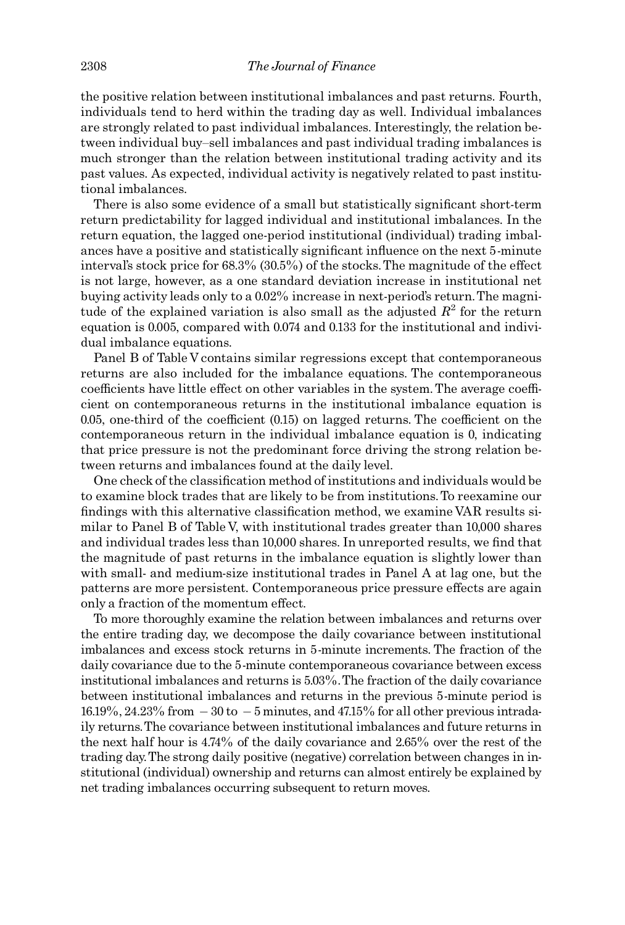the positive relation between institutional imbalances and past returns. Fourth, individuals tend to herd within the trading day as well. Individual imbalances are strongly related to past individual imbalances. Interestingly, the relation between individual buy-sell imbalances and past individual trading imbalances is much stronger than the relation between institutional trading activity and its past values. As expected, individual activity is negatively related to past institutional imbalances.

There is also some evidence of a small but statistically significant short-term return predictability for lagged individual and institutional imbalances. In the return equation, the lagged one-period institutional (individual) trading imbalances have a positive and statistically significant influence on the next 5-minute interval's stock price for  $68.3\%$   $(30.5\%)$  of the stocks. The magnitude of the effect is not large, however, as a one standard deviation increase in institutional net buying activity leads only to a 0.02% increase in next-period's return.The magnitude of the explained variation is also small as the adjusted  $R^2$  for the return equation is 0.005, compared with 0.074 and 0.133 for the institutional and individual imbalance equations.

Panel B of Table V contains similar regressions except that contemporaneous returns are also included for the imbalance equations. The contemporaneous coefficients have little effect on other variables in the system. The average coefficient on contemporaneous returns in the institutional imbalance equation is 0.05, one-third of the coefficient  $(0.15)$  on lagged returns. The coefficient on the contemporaneous return in the individual imbalance equation is 0, indicating that price pressure is not the predominant force driving the strong relation between returns and imbalances found at the daily level.

One check of the classification method of institutions and individuals would be to examine block trades that are likely to be from institutions.To reexamine our findings with this alternative classification method, we examine VAR results similar to Panel B of Table V, with institutional trades greater than 10,000 shares and individual trades less than 10,000 shares. In unreported results, we ¢nd that the magnitude of past returns in the imbalance equation is slightly lower than with small- and medium-size institutional trades in Panel A at lag one, but the patterns are more persistent. Contemporaneous price pressure effects are again only a fraction of the momentum effect.

To more thoroughly examine the relation between imbalances and returns over the entire trading day, we decompose the daily covariance between institutional imbalances and excess stock returns in 5-minute increments. The fraction of the daily covariance due to the 5-minute contemporaneous covariance between excess institutional imbalances and returns is 5.03%.The fraction of the daily covariance between institutional imbalances and returns in the previous 5-minute period is  $16.19\%, 24.23\%$  from  $-30$  to  $-5$  minutes, and 47.15% for all other previous intradaily returns.The covariance between institutional imbalances and future returns in the next half hour is 4.74% of the daily covariance and 2.65% over the rest of the trading day.The strong daily positive (negative) correlation between changes in institutional (individual) ownership and returns can almost entirely be explained by net trading imbalances occurring subsequent to return moves.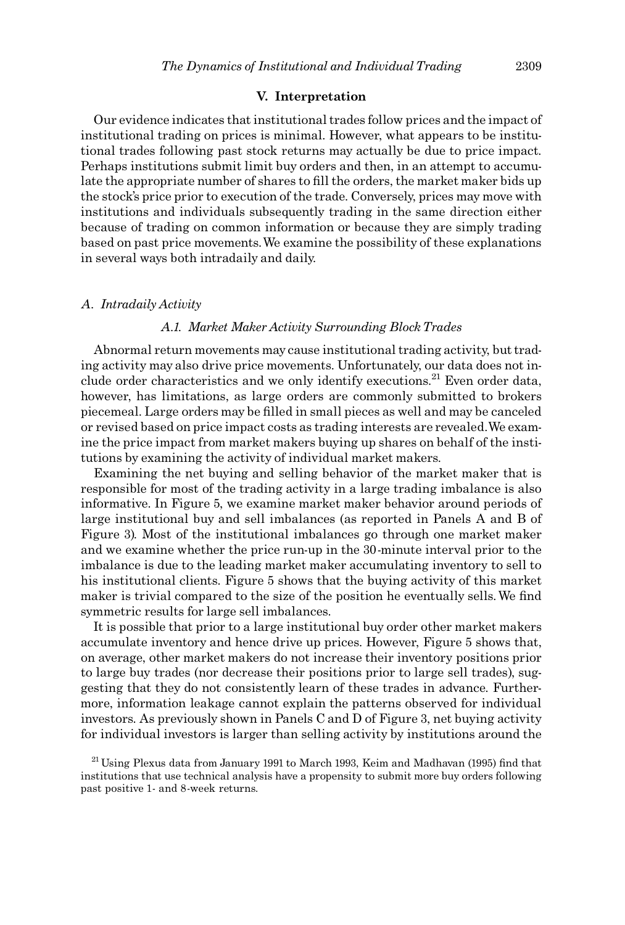#### V. Interpretation

Our evidence indicates that institutional trades follow prices and the impact of institutional trading on prices is minimal. However, what appears to be institutional trades following past stock returns may actually be due to price impact. Perhaps institutions submit limit buy orders and then, in an attempt to accumulate the appropriate number of shares to fill the orders, the market maker bids up the stock's price prior to execution of the trade. Conversely, prices may move with institutions and individuals subsequently trading in the same direction either because of trading on common information or because they are simply trading based on past price movements.We examine the possibility of these explanations in several ways both intradaily and daily.

#### A. IntradailyActivity

#### A.1. Market Maker Activity Surrounding Block Trades

Abnormal return movements may cause institutional trading activity, but trading activity may also drive price movements. Unfortunately, our data does not include order characteristics and we only identify executions.<sup>21</sup> Even order data, however, has limitations, as large orders are commonly submitted to brokers piecemeal. Large orders may be ¢lled in small pieces as well and may be canceled or revised based on price impact costs as trading interests are revealed.We examine the price impact from market makers buying up shares on behalf of the institutions by examining the activity of individual market makers.

Examining the net buying and selling behavior of the market maker that is responsible for most of the trading activity in a large trading imbalance is also informative. In Figure 5, we examine market maker behavior around periods of large institutional buy and sell imbalances (as reported in Panels A and B of Figure 3). Most of the institutional imbalances go through one market maker and we examine whether the price run-up in the 30-minute interval prior to the imbalance is due to the leading market maker accumulating inventory to sell to his institutional clients. Figure 5 shows that the buying activity of this market maker is trivial compared to the size of the position he eventually sells. We find symmetric results for large sell imbalances.

It is possible that prior to a large institutional buy order other market makers accumulate inventory and hence drive up prices. However, Figure 5 shows that, on average, other market makers do not increase their inventory positions prior to large buy trades (nor decrease their positions prior to large sell trades), suggesting that they do not consistently learn of these trades in advance. Furthermore, information leakage cannot explain the patterns observed for individual investors. As previously shown in Panels C and D of Figure 3, net buying activity for individual investors is larger than selling activity by institutions around the

<sup>&</sup>lt;sup>21</sup> Using Plexus data from January 1991 to March 1993, Keim and Madhavan (1995) find that institutions that use technical analysis have a propensity to submit more buy orders following past positive 1- and 8-week returns.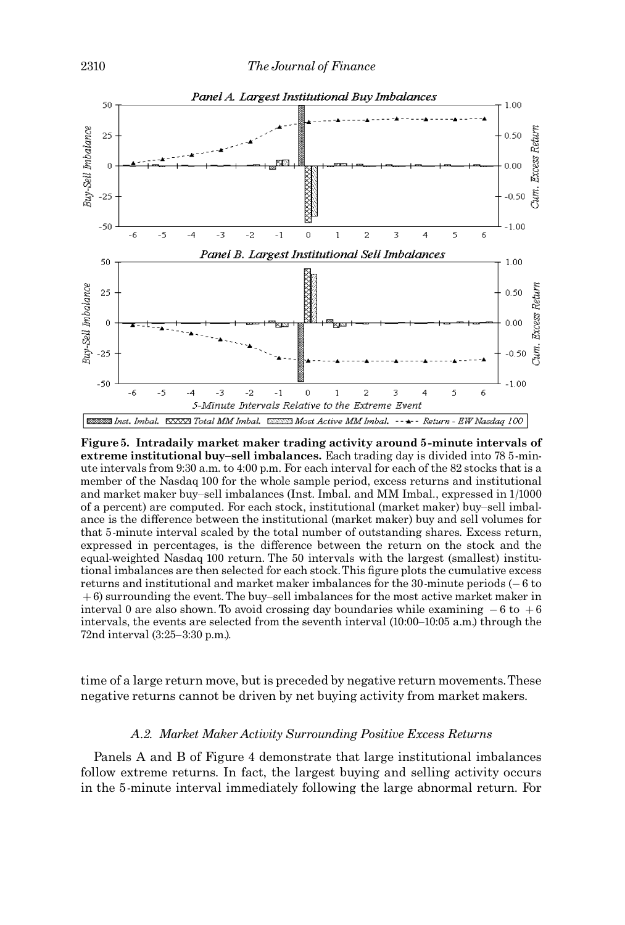

Figure 5. Intradaily market maker trading activity around 5 -minute intervals of extreme institutional buy-sell imbalances. Each trading day is divided into 78 5-minute intervals from 9:30 a.m. to 4:00 p.m. For each interval for each of the 82 stocks that is a member of the Nasdaq 100 for the whole sample period, excess returns and institutional and market maker buy-sell imbalances (Inst. Imbal. and MM Imbal., expressed in 1/1000 of a percent) are computed. For each stock, institutional (market maker) buy^sell imbalance is the difference between the institutional (market maker) buy and sell volumes for that 5-minute interval scaled by the total number of outstanding shares. Excess return, expressed in percentages, is the difference between the return on the stock and the equal-weighted Nasdaq 100 return. The 50 intervals with the largest (smallest) institutional imbalances are then selected for each stock. This figure plots the cumulative excess returns and institutional and market maker imbalances for the 30-minute periods (- 6 to  $+6$ ) surrounding the event. The buy-sell imbalances for the most active market maker in interval 0 are also shown. To avoid crossing day boundaries while examining  $-6$  to  $+6$ intervals, the events are selected from the seventh interval  $(10:00-10:05 \text{ a.m.})$  through the 72nd interval (3:25-3:30 p.m.).

time of a large return move, but is preceded by negative return movements.These negative returns cannot be driven by net buying activity from market makers.

## A.2. Market Maker Activity Surrounding Positive Excess Returns

Panels A and B of Figure 4 demonstrate that large institutional imbalances follow extreme returns. In fact, the largest buying and selling activity occurs in the 5-minute interval immediately following the large abnormal return. For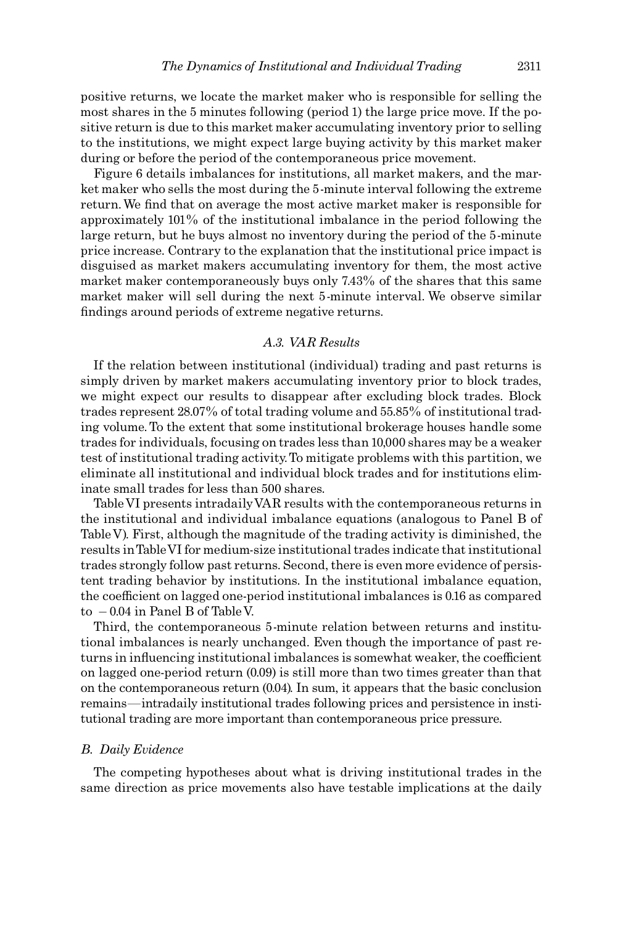positive returns, we locate the market maker who is responsible for selling the most shares in the 5 minutes following (period 1) the large price move. If the positive return is due to this market maker accumulating inventory prior to selling to the institutions, we might expect large buying activity by this market maker during or before the period of the contemporaneous price movement.

Figure 6 details imbalances for institutions, all market makers, and the market maker who sells the most during the 5-minute interval following the extreme return. We find that on average the most active market maker is responsible for approximately 101% of the institutional imbalance in the period following the large return, but he buys almost no inventory during the period of the 5-minute price increase. Contrary to the explanation that the institutional price impact is disguised as market makers accumulating inventory for them, the most active market maker contemporaneously buys only 7.43% of the shares that this same market maker will sell during the next 5-minute interval. We observe similar findings around periods of extreme negative returns.

#### A.3. VAR Results

If the relation between institutional (individual) trading and past returns is simply driven by market makers accumulating inventory prior to block trades, we might expect our results to disappear after excluding block trades. Block trades represent 28.07% of total trading volume and 55.85% of institutional trading volume. To the extent that some institutional brokerage houses handle some trades for individuals, focusing on trades less than 10,000 shares may be a weaker test of institutional trading activity.To mitigate problems with this partition, we eliminate all institutional and individual block trades and for institutions eliminate small trades for less than 500 shares.

TableVI presents intradailyVAR results with the contemporaneous returns in the institutional and individual imbalance equations (analogous to Panel B of TableV). First, although the magnitude of the trading activity is diminished, the results inTableVI for medium-size institutional trades indicate that institutional trades strongly follow past returns. Second, there is even more evidence of persistent trading behavior by institutions. In the institutional imbalance equation, the coefficient on lagged one-period institutional imbalances is 0.16 as compared to - 0.04 in Panel B of TableV.

Third, the contemporaneous 5-minute relation between returns and institutional imbalances is nearly unchanged. Even though the importance of past returns in influencing institutional imbalances is somewhat weaker, the coefficient on lagged one-period return (0.09) is still more than two times greater than that on the contemporaneous return (0.04). In sum, it appears that the basic conclusion remains—intradaily institutional trades following prices and persistence in institutional trading are more important than contemporaneous price pressure.

## B. Daily Evidence

The competing hypotheses about what is driving institutional trades in the same direction as price movements also have testable implications at the daily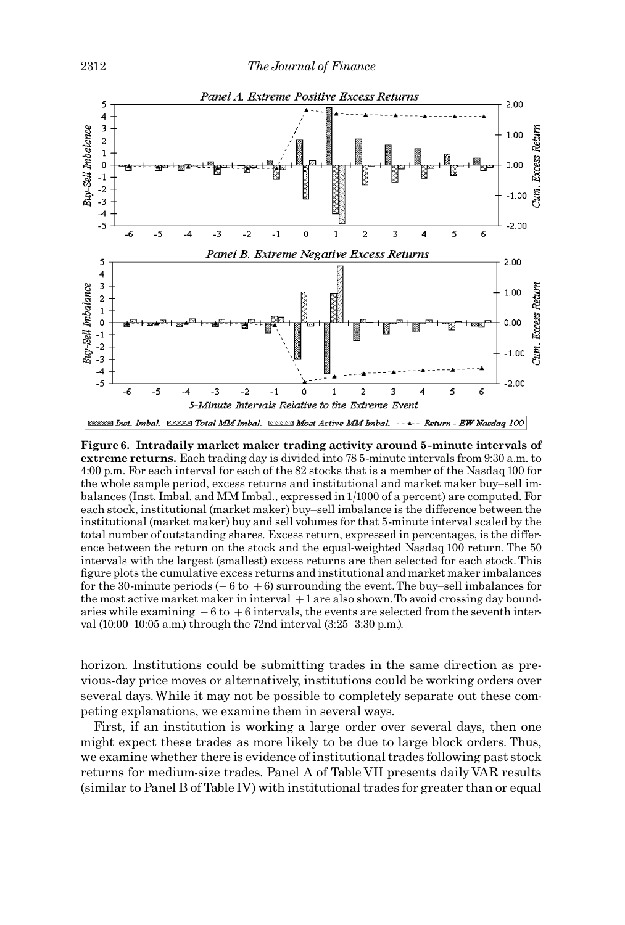

Figure 6. Intradaily market maker trading activity around 5 -minute intervals of extreme returns. Each trading day is divided into 78 5-minute intervals from 9:30 a.m. to 4:00 p.m. For each interval for each of the 82 stocks that is a member of the Nasdaq 100 for the whole sample period, excess returns and institutional and market maker buy-sell imbalances (Inst. Imbal. and MM Imbal., expressed in 1/1000 of a percent) are computed. For each stock, institutional (market maker) buy-sell imbalance is the difference between the institutional (market maker) buy and sell volumes for that 5-minute interval scaled by the total number of outstanding shares. Excess return, expressed in percentages, is the difference between the return on the stock and the equal-weighted Nasdaq 100 return. The 50 intervals with the largest (smallest) excess returns are then selected for each stock. This figure plots the cumulative excess returns and institutional and market maker imbalances for the 30-minute periods (– 6 to +6) surrounding the event. The buy–sell imbalances for the most active market maker in interval  $+1$  are also shown. To avoid crossing day boundaries while examining  $-6$  to  $+6$  intervals, the events are selected from the seventh interval  $(10:00-10:05 \text{ a.m.})$  through the 72nd interval  $(3:25-3:30 \text{ p.m.})$ .

horizon. Institutions could be submitting trades in the same direction as previous-day price moves or alternatively, institutions could be working orders over several days.While it may not be possible to completely separate out these competing explanations, we examine them in several ways.

First, if an institution is working a large order over several days, then one might expect these trades as more likely to be due to large block orders. Thus, we examine whether there is evidence of institutional trades following past stock returns for medium-size trades. Panel A of Table VII presents daily VAR results (similar to Panel B of Table IV) with institutional trades for greater than or equal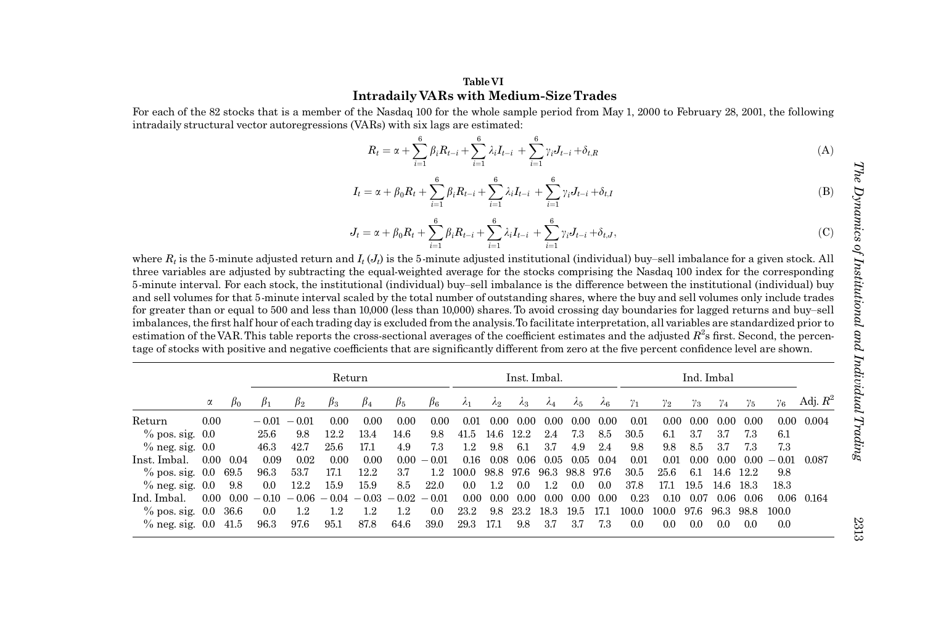## TableVIIntradaily VARs with Medium-Size Trades

For each of the 82 stocks that is <sup>a</sup> member of the Nasdaq 100 for the whole sample period from May 1, 2000 to February 28, 2001, the following intradaily structural vector autoregressions (VARs) with six lags are estimated:

$$
R_{t} = \alpha + \sum_{i=1}^{6} \beta_{i} R_{t-i} + \sum_{i=1}^{6} \lambda_{i} I_{t-i} + \sum_{i=1}^{6} \gamma_{i} J_{t-i} + \delta_{t,R}
$$
(A)

$$
I_{t} = \alpha + \beta_{0}R_{t} + \sum_{i=1}^{6} \beta_{i}R_{t-i} + \sum_{i=1}^{6} \lambda_{i}I_{t-i} + \sum_{i=1}^{6} \gamma_{i}J_{t-i} + \delta_{t,I}
$$
(B)

$$
J_t = \alpha + \beta_0 R_t + \sum_{i=1}^6 \beta_i R_{t-i} + \sum_{i=1}^6 \lambda_i I_{t-i} + \sum_{i=1}^6 \gamma_i J_{t-i} + \delta_{t,J},
$$
 (C)

where  $R_t$  is the 5-minute adjusted return and  $I_t$  ( $J_t$ ) is the 5-minute adjusted institutional (individual) buy–sell imbalance for a given stock. All three variables are adjusted by subtracting the equal-weighted average for the stocks comprising the Nasdaq 100 index for the corresponding 5-minute interval. For each stock, the institutional (individual) buy-sell imbalance is the difference between the institutional (individual) buy and sell volumes for that 5-minute interval scaled by the total number of outstanding shares, where the buy and sell volumes only include trades for greater than or equal to 500 and less than 10,000 (less than 10,000) shares. To avoid crossing day boundaries for lagged returns and buy-sell imbalances, the first half hour of each trading day is excluded from the analysis. To facilitate interpretation, all variables are standardized prior to estimation of the VAR. This table reports the cross-sectional averages of the coefficient estimates and the adjusted  $R^2$ s first. Second, the percentage of stocks with positive and negative coefficients that are significantly different from zero at the five percent confidence level are shown.

|                    |                   |                   |                       | Return  |         |           |                |         |             | Inst. Imbal.    |             |                 |               |             |            |              | Ind. Imbal |                   |              |            |            |
|--------------------|-------------------|-------------------|-----------------------|---------|---------|-----------|----------------|---------|-------------|-----------------|-------------|-----------------|---------------|-------------|------------|--------------|------------|-------------------|--------------|------------|------------|
|                    | $\alpha$          | $\beta_0$         | $\beta_1$             | $p_2$   | $p_3$   | $\beta_4$ | $\beta_5$      | Þ6      | $\lambda_1$ | $\mathcal{L}_2$ | $\lambda_3$ | $\mathcal{L}_4$ | $\lambda_{5}$ | $\lambda_6$ | $\gamma_1$ | $\gamma_{2}$ | γз         | Y4                | $\gamma_{5}$ | $\gamma_6$ | Adj. $R^2$ |
| Return             | 0.00              |                   | $-0.01$               | $-0.01$ | 0.00    | 0.00      | 0.00           | 0.00    | 0.01        | 0.00            | 0.00        | -0.00           | 0.00          | 0.00        | 0.01       | 0.00         | 0.00       | 0.00              | 0.00         | 0.00       | 0.004      |
| $\%$ pos. sig. 0.0 |                   |                   | 25.6                  | 9.8     | 12.2    | 13.4      | 14.6           | 9.8     | 41.5        | 14.6            | 12.2        | 2.4             | 7.3           | 8.5         | 30.5       | 6.1          | 3.7        | 3.7               | 7.3          | 6.1        |            |
| $\%$ neg. sig. 0.0 |                   |                   | 46.3                  | 42.7    | 25.6    | 17.1      | 4.9            | 7.3     | $1.2\,$     | 9.8             | 6.1         | 3.7             | 4.9           | 2.4         | 9.8        | 9.8          | 8.5        | 3.7               | 7.3          | 7.3        |            |
| Inst. Imbal.       | 0.00 <sub>1</sub> | 0.04              | 0.09                  | 0.02    | 0.00    | 0.00      | 0.00           | $-0.01$ | 0.16        | 0.08            | 0.06        | 0.05            | 0.05          | 0.04        | 0.01       | 0.01         | 0.00       | 0.00 <sub>1</sub> | 0.00         | $-0.01$    | 0.087      |
| $\%$ pos. sig. 0.0 |                   | 69.5              | 96.3                  | 53.7    | 17.1    | 12.2      | 3.7            | $1.2\,$ | 100.0       | 98.8            | 97.6        | 96.3            | 98.8 97.6     |             | 30.5       | 25.6         | 6.1        | 14.6              | 12.2         | 9.8        |            |
| $\%$ neg. sig. 0.0 |                   | 9.8               | 0.0                   | 12.2    | 15.9    | 15.9      | 8.5            | 22.0    | 0.0         | $1.2\,$         | 0.0         | 1.2.            | 0.0           | 0.0         | 37.8       | 17.1         | 19.5       | 14.6              | 18.3         | 18.3       |            |
| Ind. Imbal.        | 0.00              | 0.00 <sub>1</sub> | $-0.10 - 0.06 - 0.04$ |         |         | $-0.03$   | $-0.02 - 0.01$ |         | 0.00        | 0.00            | 0.00        | 0.00            | 0.00          | 0.00        | 0.23       | 0.10         | 0.07       | 0.06              | -0.06        | 0.06       | 0.164      |
| $\%$ pos. sig. 0.0 |                   | 36.6              | 0.0                   | $1.2\,$ | $1.2\,$ | $^{1.2}$  | 1.2            | 0.0     | 23.2        | 9.8             | 23.2        | 18.3            | 19.5          | 17.1        | 100.0      | 100.0        | 97.6       | 96.3              | 98.8         | 100.0      |            |
| $\%$ neg. sig. 0.0 |                   | 41.5              | 96.3                  | 97.6    | 95.1    | 87.8      | 64.6           | 39.0    | 29.3        | 17.1            | 9.8         | 3.7             | 3.7           | 7.3         | 0.0        | 0.0          | 0.0        | 0.0               | 0.0          | 0.0        |            |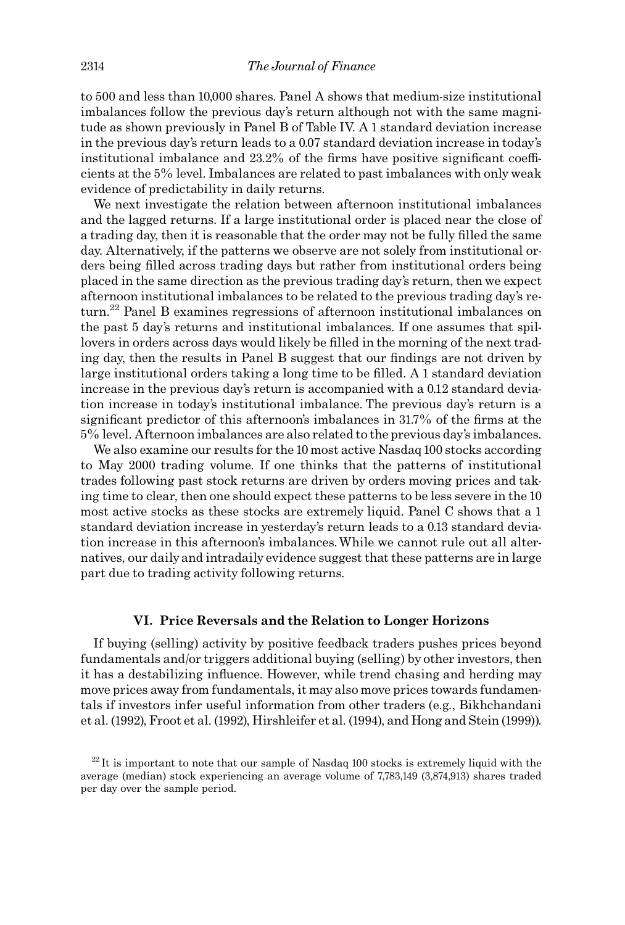to 500 and less than 10,000 shares. Panel A shows that medium-size institutional imbalances follow the previous day's return although not with the same magnitude as shown previously in Panel B of Table IV. A 1 standard deviation increase in the previous day's return leads to a 0.07 standard deviation increase in today's institutional imbalance and  $23.2\%$  of the firms have positive significant coefficients at the 5% level. Imbalances are related to past imbalances with only weak evidence of predictability in daily returns.

We next investigate the relation between afternoon institutional imbalances and the lagged returns. If a large institutional order is placed near the close of a trading day, then it is reasonable that the order may not be fully filled the same day. Alternatively, if the patterns we observe are not solely from institutional orders being ¢lled across trading days but rather from institutional orders being placed in the same direction as the previous trading day's return, then we expect afternoon institutional imbalances to be related to the previous trading day's return.<sup>22</sup> Panel B examines regressions of afternoon institutional imbalances on the past 5 day's returns and institutional imbalances. If one assumes that spillovers in orders across days would likely be filled in the morning of the next trading day, then the results in Panel B suggest that our findings are not driven by large institutional orders taking a long time to be filled. A 1 standard deviation increase in the previous day's return is accompanied with a 0.12 standard deviation increase in today's institutional imbalance. The previous day's return is a significant predictor of this afternoon's imbalances in 31.7% of the firms at the 5% level. Afternoon imbalances are also related to the previous day's imbalances.

We also examine our results for the 10 most active Nasdaq 100 stocks according to May 2000 trading volume. If one thinks that the patterns of institutional trades following past stock returns are driven by orders moving prices and taking time to clear, then one should expect these patterns to be less severe in the 10 most active stocks as these stocks are extremely liquid. Panel C shows that a 1 standard deviation increase in yesterday's return leads to a 0.13 standard deviation increase in this afternoon's imbalances.While we cannot rule out all alternatives, our daily and intradaily evidence suggest that these patterns are in large part due to trading activity following returns.

## VI. Price Reversals and the Relation to Longer Horizons

If buying (selling) activity by positive feedback traders pushes prices beyond fundamentals and/or triggers additional buying (selling) by other investors, then it has a destabilizing influence. However, while trend chasing and herding may move prices away from fundamentals, it may also move prices towards fundamentals if investors infer useful information from other traders (e.g., Bikhchandani et al. (1992), Froot et al. (1992), Hirshleifer et al. (1994), and Hong and Stein (1999)).

 $^{22}$ It is important to note that our sample of Nasdaq 100 stocks is extremely liquid with the average (median) stock experiencing an average volume of 7,783,149 (3,874,913) shares traded per day over the sample period.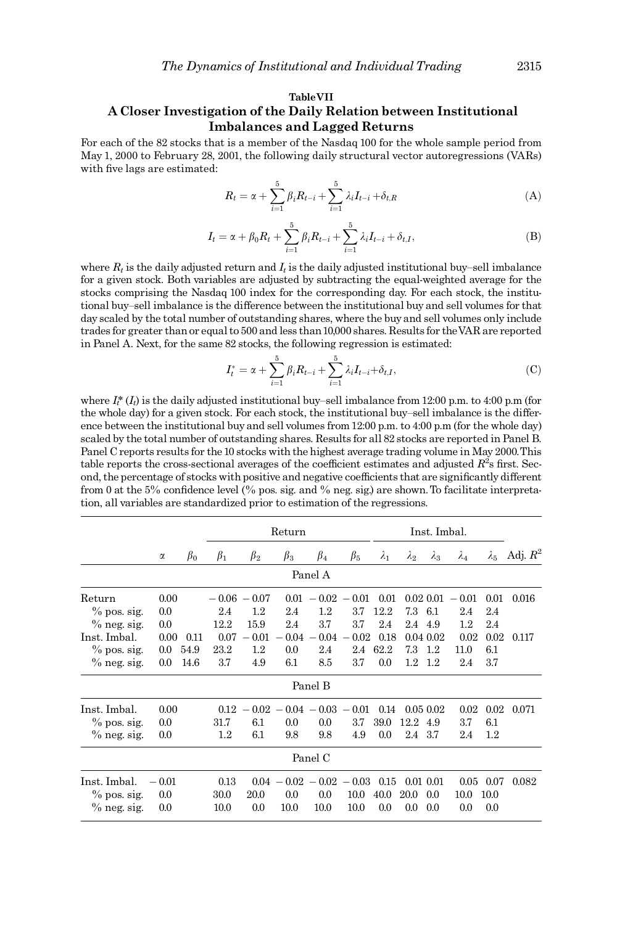# TableVII A Closer Investigation of the Daily Relation between Institutional Imbalances and Lagged Returns

For each of the 82 stocks that is a member of the Nasdaq 100 for the whole sample period from May 1, 2000 to February 28, 2001, the following daily structural vector autoregressions (VARs) with five lags are estimated:

$$
R_{t} = \alpha + \sum_{i=1}^{5} \beta_{i} R_{t-i} + \sum_{i=1}^{5} \lambda_{i} I_{t-i} + \delta_{t,R}
$$
 (A)

$$
I_{t} = \alpha + \beta_{0}R_{t} + \sum_{i=1}^{5} \beta_{i}R_{t-i} + \sum_{i=1}^{5} \lambda_{i}I_{t-i} + \delta_{t,I},
$$
 (B)

where  $R_t$  is the daily adjusted return and  $I_t$  is the daily adjusted institutional buy-sell imbalance for a given stock. Both variables are adjusted by subtracting the equal-weighted average for the stocks comprising the Nasdaq 100 index for the corresponding day. For each stock, the institutional buy-sell imbalance is the difference between the institutional buy and sell volumes for that day scaled by the total number of outstanding shares, where the buy and sell volumes only include trades for greater than or equal to 500 and less than 10,000 shares. Results for theVAR are reported in Panel A. Next, for the same 82 stocks, the following regression is estimated:

$$
I_t^* = \alpha + \sum_{i=1}^5 \beta_i R_{t-i} + \sum_{i=1}^5 \lambda_i I_{t-i} + \delta_{t,i},
$$
 (C)

where  $I_t^*(I_t)$  is the daily adjusted institutional buy-sell imbalance from 12:00 p.m. to 4:00 p.m (for the whole day) for a given stock. For each stock, the institutional buy-sell imbalance is the difference between the institutional buy and sell volumes from 12:00 p.m. to 4:00 p.m (for the whole day) scaled by the total number of outstanding shares. Results for all 82 stocks are reported in Panel B. Panel C reports results for the 10 stocks with the highest average trading volume in May 2000.This table reports the cross-sectional averages of the coefficient estimates and adjusted  $R^2$ s first. Second, the percentage of stocks with positive and negative coefficients that are significantly different from 0 at the  $5\%$  confidence level (% pos. sig. and % neg. sig.) are shown. To facilitate interpretation, all variables are standardized prior to estimation of the regressions.

|                |          |           |           |                | Return                             |                       |           |             |             | Inst. Imbal. |             |         |                        |
|----------------|----------|-----------|-----------|----------------|------------------------------------|-----------------------|-----------|-------------|-------------|--------------|-------------|---------|------------------------|
|                | $\alpha$ | $\beta_0$ | $\beta_1$ | $\beta_2$      | $\beta_3$                          | $\beta_4$             | $\beta_5$ | $\lambda_1$ | $\lambda_2$ | $\lambda_3$  | $\lambda_4$ |         | $\lambda_5$ Adj. $R^2$ |
|                |          |           |           |                |                                    | Panel A               |           |             |             |              |             |         |                        |
| Return         | 0.00     |           |           | $-0.06 - 0.07$ |                                    | $0.01 - 0.02 - 0.01$  |           | 0.01        |             | $0.02\;0.01$ | $-0.01$     | 0.01    | 0.016                  |
| $\%$ pos. sig. | 0.0      |           | 2.4       | $1.2\,$        | 2.4                                | $1.2\,$               | 3.7       | 12.2        | 7.3         | 6.1          | 2.4         | 2.4     |                        |
| $\%$ neg. sig. | 0.0      |           | 12.2      | 15.9           | 2.4                                | 3.7                   | 3.7       | 2.4         | 2.4         | 4.9          | $1.2\,$     | 2.4     |                        |
| Inst. Imbal.   | 0.00     | 0.11      | 0.07      | $-0.01$        |                                    | $-0.04 - 0.04 - 0.02$ |           | 0.18        |             | 0.04 0.02    | 0.02        | 0.02    | 0.117                  |
| $\%$ pos. sig. | $0.0\,$  | 54.9      | 23.2      | $1.2\,$        | 0.0                                | 2.4                   | 2.4       | 62.2        | 7.3         | $1.2\,$      | 11.0        | 6.1     |                        |
| $\%$ neg. sig. | $0.0\,$  | 14.6      | 3.7       | 4.9            | 6.1                                | 8.5                   | 3.7       | 0.0         | $1.2\,$     | $1.2\,$      | 2.4         | 3.7     |                        |
|                |          |           |           |                |                                    | Panel B               |           |             |             |              |             |         |                        |
| Inst. Imbal.   | 0.00     |           |           |                | $0.12 - 0.02 - 0.04 - 0.03 - 0.01$ |                       |           | 0.14        |             | 0.05 0.02    | 0.02        | 0.02    | 0.071                  |
| $\%$ pos. sig. | 0.0      |           | 31.7      | 6.1            | 0.0                                | 0.0                   | 3.7       | 39.0        | 12.2        | 4.9          | 3.7         | 6.1     |                        |
| $%$ neg. sig.  | 0.0      |           | $1.2\,$   | 6.1            | 9.8                                | 9.8                   | 4.9       | 0.0         | 2.4         | 3.7          | 2.4         | $1.2\,$ |                        |
|                |          |           |           |                |                                    | Panel C               |           |             |             |              |             |         |                        |
| Inst. Imbal.   | $-0.01$  |           | 0.13      |                | $0.04 - 0.02 - 0.02 - 0.03$        |                       |           | 0.15        |             | 0.01 0.01    | 0.05        | 0.07    | 0.082                  |
| $\%$ pos. sig. | 0.0      |           | 30.0      | 20.0           | 0.0                                | 0.0                   | 10.0      | 40.0        | 20.0        | 0.0          | 10.0        | 10.0    |                        |
| $\%$ neg. sig. | 0.0      |           | 10.0      | 0.0            | 10.0                               | 10.0                  | 10.0      | 0.0         | 0.0         | 0.0          | 0.0         | 0.0     |                        |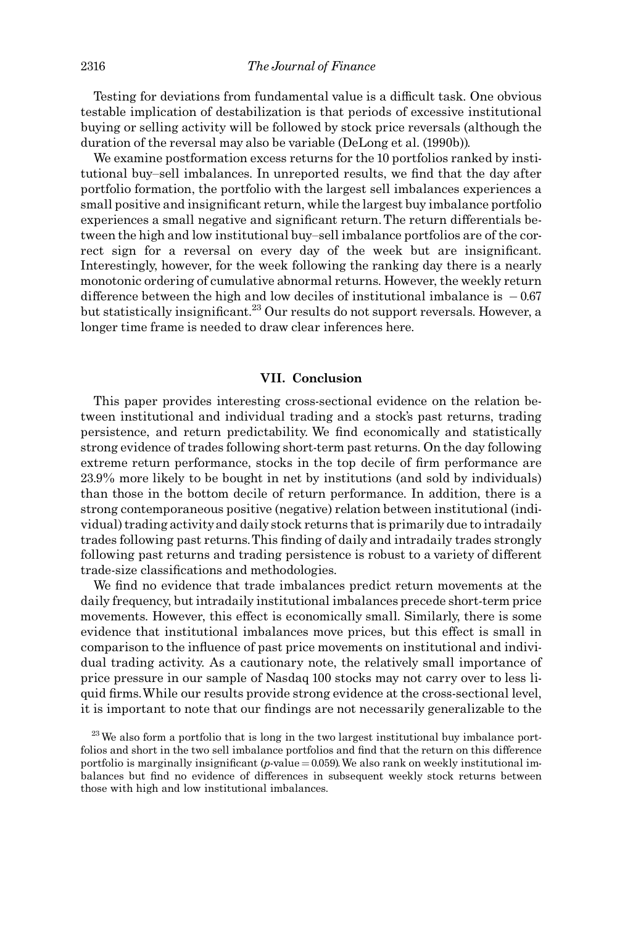Testing for deviations from fundamental value is a difficult task. One obvious testable implication of destabilization is that periods of excessive institutional buying or selling activity will be followed by stock price reversals (although the duration of the reversal may also be variable (DeLong et al. (1990b)).

We examine postformation excess returns for the 10 portfolios ranked by institutional buy^sell imbalances. In unreported results, we ¢nd that the day after portfolio formation, the portfolio with the largest sell imbalances experiences a small positive and insignificant return, while the largest buy imbalance portfolio experiences a small negative and significant return. The return differentials between the high and low institutional buy-sell imbalance portfolios are of the correct sign for a reversal on every day of the week but are insignificant. Interestingly, however, for the week following the ranking day there is a nearly monotonic ordering of cumulative abnormal returns. However, the weekly return difference between the high and low deciles of institutional imbalance is  $-0.67$ but statistically insignificant.<sup>23</sup> Our results do not support reversals. However, a longer time frame is needed to draw clear inferences here.

#### VII. Conclusion

This paper provides interesting cross-sectional evidence on the relation between institutional and individual trading and a stock's past returns, trading persistence, and return predictability. We ¢nd economically and statistically strong evidence of trades following short-term past returns. On the day following extreme return performance, stocks in the top decile of firm performance are 23.9% more likely to be bought in net by institutions (and sold by individuals) than those in the bottom decile of return performance. In addition, there is a strong contemporaneous positive (negative) relation between institutional (individual) trading activity and daily stock returns that is primarily due to intradaily trades following past returns. This finding of daily and intradaily trades strongly following past returns and trading persistence is robust to a variety of different trade-size classi¢cations and methodologies.

We find no evidence that trade imbalances predict return movements at the daily frequency, but intradaily institutional imbalances precede short-term price movements. However, this effect is economically small. Similarly, there is some evidence that institutional imbalances move prices, but this effect is small in comparison to the influence of past price movements on institutional and individual trading activity. As a cautionary note, the relatively small importance of price pressure in our sample of Nasdaq 100 stocks may not carry over to less liquid firms. While our results provide strong evidence at the cross-sectional level, it is important to note that our findings are not necessarily generalizable to the

 $^{23}$  We also form a portfolio that is long in the two largest institutional buy imbalance portfolios and short in the two sell imbalance portfolios and find that the return on this difference portfolio is marginally insignificant (p-value  $= 0.059$ ). We also rank on weekly institutional imbalances but find no evidence of differences in subsequent weekly stock returns between those with high and low institutional imbalances.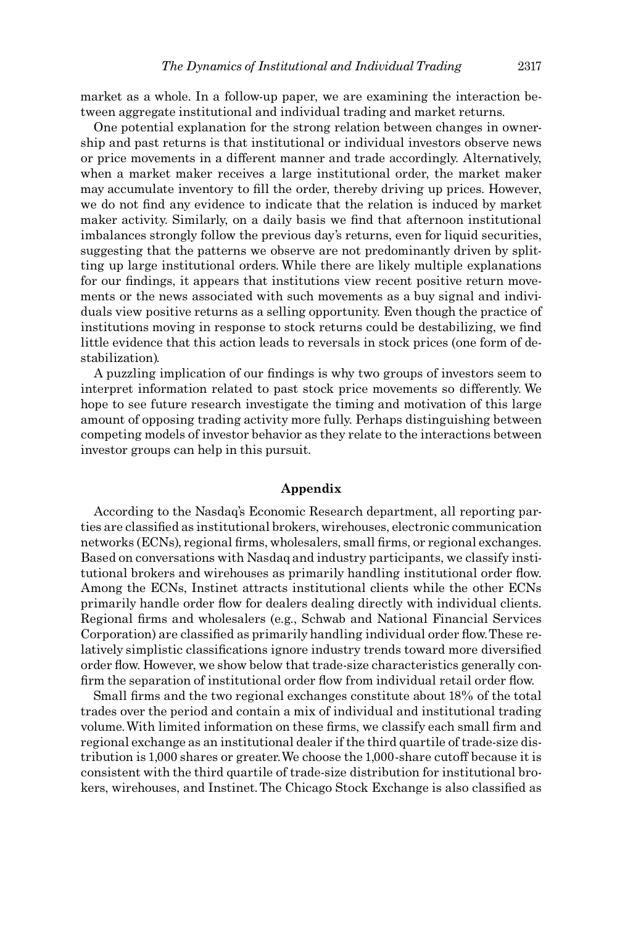market as a whole. In a follow-up paper, we are examining the interaction between aggregate institutional and individual trading and market returns.

One potential explanation for the strong relation between changes in ownership and past returns is that institutional or individual investors observe news or price movements in a different manner and trade accordingly. Alternatively, when a market maker receives a large institutional order, the market maker may accumulate inventory to fill the order, thereby driving up prices. However, we do not find any evidence to indicate that the relation is induced by market maker activity. Similarly, on a daily basis we find that afternoon institutional imbalances strongly follow the previous day's returns, even for liquid securities, suggesting that the patterns we observe are not predominantly driven by splitting up large institutional orders. While there are likely multiple explanations for our findings, it appears that institutions view recent positive return movements or the news associated with such movements as a buy signal and individuals view positive returns as a selling opportunity. Even though the practice of institutions moving in response to stock returns could be destabilizing, we find little evidence that this action leads to reversals in stock prices (one form of destabilization).

A puzzling implication of our findings is why two groups of investors seem to interpret information related to past stock price movements so differently. We hope to see future research investigate the timing and motivation of this large amount of opposing trading activity more fully. Perhaps distinguishing between competing models of investor behavior as they relate to the interactions between investor groups can help in this pursuit.

#### Appendix

According to the Nasdaq's Economic Research department, all reporting parties are classi¢ed as institutional brokers, wirehouses, electronic communication networks (ECNs), regional firms, wholesalers, small firms, or regional exchanges. Based on conversations with Nasdaq and industry participants, we classify institutional brokers and wirehouses as primarily handling institutional order flow. Among the ECNs, Instinet attracts institutional clients while the other ECNs primarily handle order flow for dealers dealing directly with individual clients. Regional firms and wholesalers (e.g., Schwab and National Financial Services Corporation) are classified as primarily handling individual order flow. These relatively simplistic classifications ignore industry trends toward more diversified order flow. However, we show below that trade-size characteristics generally confirm the separation of institutional order flow from individual retail order flow.

Small firms and the two regional exchanges constitute about  $18\%$  of the total trades over the period and contain a mix of individual and institutional trading volume. With limited information on these firms, we classify each small firm and regional exchange as an institutional dealer if the third quartile of trade-size distribution is  $1,000$  shares or greater. We choose the  $1,000$ -share cutoff because it is consistent with the third quartile of trade-size distribution for institutional brokers, wirehouses, and Instinet. The Chicago Stock Exchange is also classified as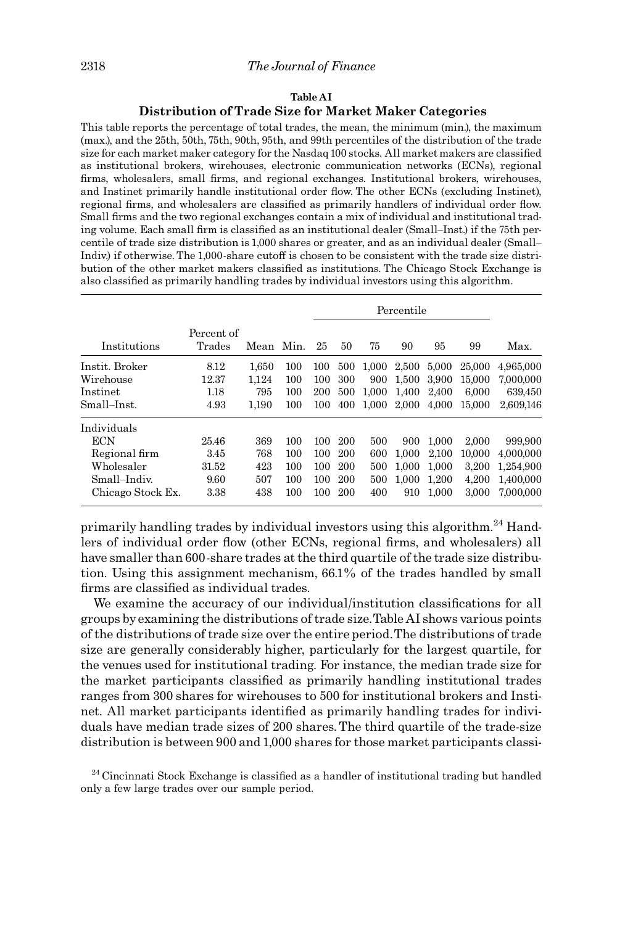#### Table AI Distribution of Trade Size for Market Maker Categories

This table reports the percentage of total trades, the mean, the minimum (min.), the maximum (max.), and the 25th, 50th, 75th, 90th, 95th, and 99th percentiles of the distribution of the trade size for each market maker category for the Nasdaq 100 stocks. All market makers are classified as institutional brokers, wirehouses, electronic communication networks (ECNs), regional firms, wholesalers, small firms, and regional exchanges. Institutional brokers, wirehouses, and Instinet primarily handle institutional order flow. The other ECNs (excluding Instinet), regional firms, and wholesalers are classified as primarily handlers of individual order flow. Small firms and the two regional exchanges contain a mix of individual and institutional trading volume. Each small firm is classified as an institutional dealer (Small-Inst.) if the 75th percentile of trade size distribution is 1,000 shares or greater, and as an individual dealer (Small^ Indiv.) if otherwise. The 1,000-share cutoff is chosen to be consistent with the trade size distribution of the other market makers classified as institutions. The Chicago Stock Exchange is also classified as primarily handling trades by individual investors using this algorithm.

|                   |                      |           |     |     |     |       | Percentile |       |        |           |
|-------------------|----------------------|-----------|-----|-----|-----|-------|------------|-------|--------|-----------|
| Institutions      | Percent of<br>Trades | Mean Min. |     | 25  | 50  | 75    | 90         | 95    | 99     | Max.      |
| Instit. Broker    | 8.12                 | 1.650     | 100 | 100 | 500 | 1.000 | 2,500      | 5.000 | 25,000 | 4,965,000 |
| Wirehouse         | 12.37                | 1,124     | 100 | 100 | 300 | 900   | 1,500      | 3.900 | 15,000 | 7,000,000 |
| Instinet          | 1.18                 | 795       | 100 | 200 | 500 | 1.000 | 1.400      | 2.400 | 6.000  | 639,450   |
| Small-Inst.       | 4.93                 | 1,190     | 100 | 100 | 400 | 1.000 | 2,000      | 4.000 | 15,000 | 2,609,146 |
| Individuals       |                      |           |     |     |     |       |            |       |        |           |
| ECN               | 25.46                | 369       | 100 | 100 | 200 | 500   | 900        | 1.000 | 2.000  | 999,900   |
| Regional firm     | 3.45                 | 768       | 100 | 100 | 200 | 600   | 1.000      | 2.100 | 10.000 | 4.000.000 |
| Wholesaler        | 31.52                | 423       | 100 | 100 | 200 | 500   | 1,000      | 1.000 | 3,200  | 1,254,900 |
| Small-Indiv.      | 9.60                 | 507       | 100 | 100 | 200 | 500   | 1.000      | 1.200 | 4.200  | 1.400.000 |
| Chicago Stock Ex. | 3.38                 | 438       | 100 | 100 | 200 | 400   | 910        | 1.000 | 3.000  | 7,000,000 |

primarily handling trades by individual investors using this algorithm.<sup>24</sup> Handlers of individual order flow (other ECNs, regional firms, and wholesalers) all have smaller than 600-share trades at the third quartile of the trade size distribution. Using this assignment mechanism, 66.1% of the trades handled by small firms are classified as individual trades.

We examine the accuracy of our individual/institution classifications for all groups by examining the distributions of trade size.Table AI shows various points of the distributions of trade size over the entire period.The distributions of trade size are generally considerably higher, particularly for the largest quartile, for the venues used for institutional trading. For instance, the median trade size for the market participants classi¢ed as primarily handling institutional trades ranges from 300 shares for wirehouses to 500 for institutional brokers and Instinet. All market participants identified as primarily handling trades for individuals have median trade sizes of 200 shares. The third quartile of the trade-size distribution is between 900 and 1,000 shares for those market participants classi-

<sup>24</sup> Cincinnati Stock Exchange is classified as a handler of institutional trading but handled only a few large trades over our sample period.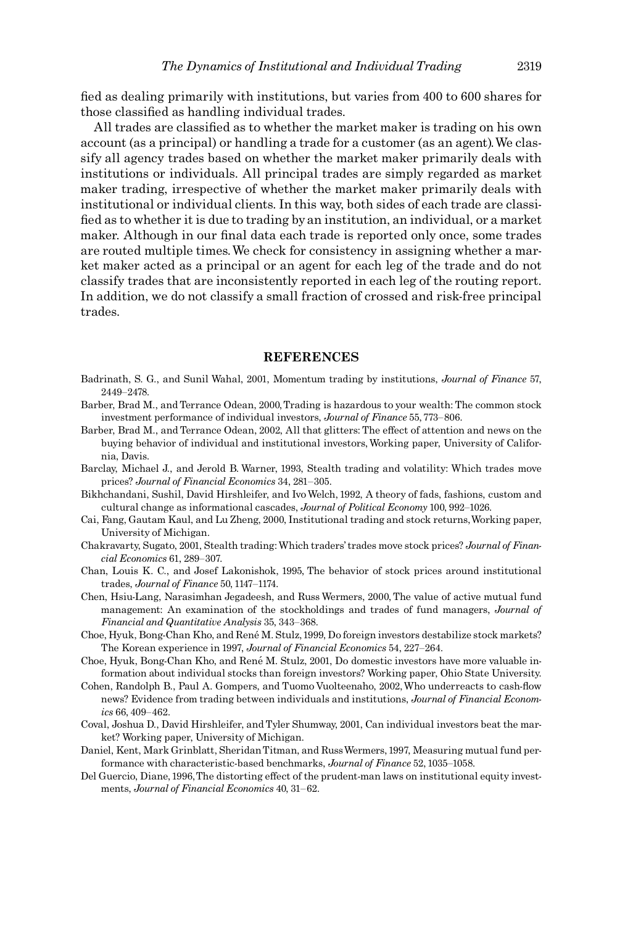fied as dealing primarily with institutions, but varies from 400 to 600 shares for those classi¢ed as handling individual trades.

All trades are classified as to whether the market maker is trading on his own account (as a principal) or handling a trade for a customer (as an agent).We classify all agency trades based on whether the market maker primarily deals with institutions or individuals. All principal trades are simply regarded as market maker trading, irrespective of whether the market maker primarily deals with institutional or individual clients. In this way, both sides of each trade are classi fied as to whether it is due to trading by an institution, an individual, or a market maker. Although in our final data each trade is reported only once, some trades are routed multiple times.We check for consistency in assigning whether a market maker acted as a principal or an agent for each leg of the trade and do not classify trades that are inconsistently reported in each leg of the routing report. In addition, we do not classify a small fraction of crossed and risk-free principal trades.

#### REFERENCES

- Badrinath, S. G., and Sunil Wahal, 2001, Momentum trading by institutions, Journal of Finance 57, 2449^2478.
- Barber, Brad M., and Terrance Odean, 2000,Trading is hazardous to your wealth: The common stock investment performance of individual investors, Journal of Finance 55, 773-806.
- Barber, Brad M., and Terrance Odean, 2002, All that glitters: The effect of attention and news on the buying behavior of individual and institutional investors,Working paper, University of California, Davis.
- Barclay, Michael J., and Jerold B. Warner, 1993, Stealth trading and volatility: Which trades move prices? Journal of Financial Economics 34, 281-305.
- Bikhchandani, Sushil, David Hirshleifer, and IvoWelch, 1992, A theory of fads, fashions, custom and cultural change as informational cascades, Journal of Political Economy 100, 992-1026.
- Cai, Fang, Gautam Kaul, and Lu Zheng, 2000, Institutional trading and stock returns,Working paper, University of Michigan.
- Chakravarty, Sugato, 2001, Stealth trading:Which traders' trades move stock prices? Journal of Finan $cial\ Economics\ 61, 289-307.$
- Chan, Louis K. C., and Josef Lakonishok, 1995, The behavior of stock prices around institutional trades, Journal of Finance 50, 1147-1174.
- Chen, Hsiu-Lang, Narasimhan Jegadeesh, and Russ Wermers, 2000, The value of active mutual fund management: An examination of the stockholdings and trades of fund managers, Journal of Financial and Quantitative Analysis 35, 343-368.
- Choe, Hyuk, Bong-Chan Kho, and René M. Stulz, 1999, Do foreign investors destabilize stock markets? The Korean experience in 1997, Journal of Financial Economics 54, 227-264.
- Choe, Hyuk, Bong-Chan Kho, and René M. Stulz, 2001, Do domestic investors have more valuable information about individual stocks than foreign investors? Working paper, Ohio State University.
- Cohen, Randolph B., Paul A. Gompers, and Tuomo Vuolteenaho, 2002, Who underreacts to cash-flow news? Evidence from trading between individuals and institutions, Journal of Financial Econom $ics 66, 409 - 462.$
- Coval, Joshua D., David Hirshleifer, and Tyler Shumway, 2001, Can individual investors beat the market? Working paper, University of Michigan.
- Daniel, Kent, Mark Grinblatt, SheridanTitman, and RussWermers, 1997, Measuring mutual fund performance with characteristic-based benchmarks, Journal of Finance 52, 1035-1058.
- Del Guercio, Diane, 1996, The distorting effect of the prudent-man laws on institutional equity investments, Journal of Financial Economics 40, 31-62.